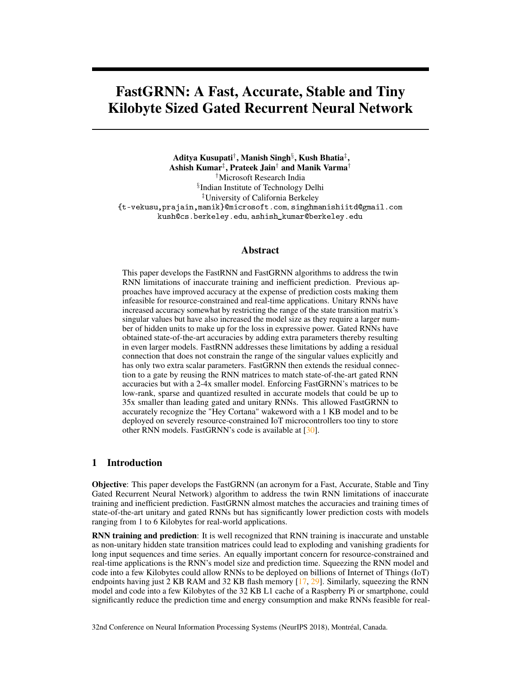# FastGRNN: A Fast, Accurate, Stable and Tiny Kilobyte Sized Gated Recurrent Neural Network

Aditya Kusupati $^\dagger$ , Manish Singh $^\S$ , Kush Bhatia $^\ddagger,$ Ashish Kumar $^\ddag$ , Prateek Jain $^\dagger$  and Manik Varma $^\dagger$ †Microsoft Research India § Indian Institute of Technology Delhi ‡University of California Berkeley {t-vekusu,prajain,manik}@microsoft.com, singhmanishiitd@gmail.com kush@cs.berkeley.edu, ashish\_kumar@berkeley.edu

## Abstract

This paper develops the FastRNN and FastGRNN algorithms to address the twin RNN limitations of inaccurate training and inefficient prediction. Previous approaches have improved accuracy at the expense of prediction costs making them infeasible for resource-constrained and real-time applications. Unitary RNNs have increased accuracy somewhat by restricting the range of the state transition matrix's singular values but have also increased the model size as they require a larger number of hidden units to make up for the loss in expressive power. Gated RNNs have obtained state-of-the-art accuracies by adding extra parameters thereby resulting in even larger models. FastRNN addresses these limitations by adding a residual connection that does not constrain the range of the singular values explicitly and has only two extra scalar parameters. FastGRNN then extends the residual connection to a gate by reusing the RNN matrices to match state-of-the-art gated RNN accuracies but with a 2-4x smaller model. Enforcing FastGRNN's matrices to be low-rank, sparse and quantized resulted in accurate models that could be up to 35x smaller than leading gated and unitary RNNs. This allowed FastGRNN to accurately recognize the "Hey Cortana" wakeword with a 1 KB model and to be deployed on severely resource-constrained IoT microcontrollers too tiny to store other RNN models. FastGRNN's code is available at [\[30\]](#page-10-0).

## 1 Introduction

Objective: This paper develops the FastGRNN (an acronym for a Fast, Accurate, Stable and Tiny Gated Recurrent Neural Network) algorithm to address the twin RNN limitations of inaccurate training and inefficient prediction. FastGRNN almost matches the accuracies and training times of state-of-the-art unitary and gated RNNs but has significantly lower prediction costs with models ranging from 1 to 6 Kilobytes for real-world applications.

RNN training and prediction: It is well recognized that RNN training is inaccurate and unstable as non-unitary hidden state transition matrices could lead to exploding and vanishing gradients for long input sequences and time series. An equally important concern for resource-constrained and real-time applications is the RNN's model size and prediction time. Squeezing the RNN model and code into a few Kilobytes could allow RNNs to be deployed on billions of Internet of Things (IoT) endpoints having just 2 KB RAM and 32 KB flash memory  $[17, 29]$  $[17, 29]$  $[17, 29]$ . Similarly, squeezing the RNN model and code into a few Kilobytes of the 32 KB L1 cache of a Raspberry Pi or smartphone, could significantly reduce the prediction time and energy consumption and make RNNs feasible for real-

32nd Conference on Neural Information Processing Systems (NeurIPS 2018), Montréal, Canada.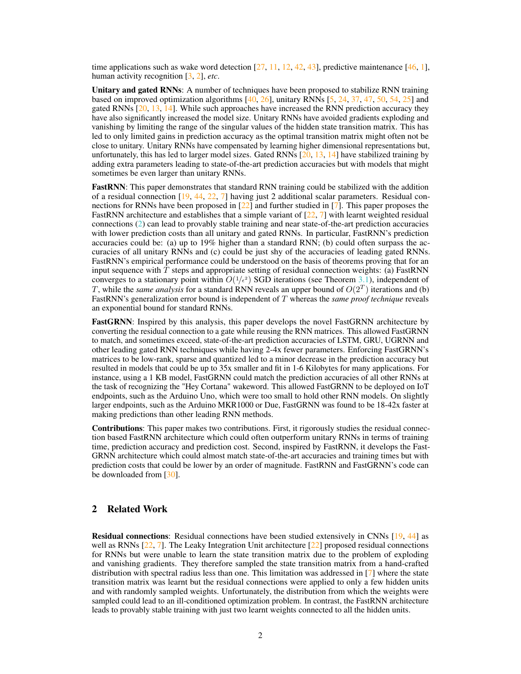time applications such as wake word detection  $[27, 11, 12, 42, 43]$  $[27, 11, 12, 42, 43]$  $[27, 11, 12, 42, 43]$  $[27, 11, 12, 42, 43]$  $[27, 11, 12, 42, 43]$  $[27, 11, 12, 42, 43]$  $[27, 11, 12, 42, 43]$  $[27, 11, 12, 42, 43]$  $[27, 11, 12, 42, 43]$ , predictive maintenance  $[46, 1]$  $[46, 1]$  $[46, 1]$ , human activity recognition [\[3,](#page-9-4) [2\]](#page-9-5), *etc*.

Unitary and gated RNNs: A number of techniques have been proposed to stabilize RNN training based on improved optimization algorithms  $[40, 26]$  $[40, 26]$  $[40, 26]$ , unitary RNNs  $[5, 24, 37, 47, 50, 54, 25]$  $[5, 24, 37, 47, 50, 54, 25]$  $[5, 24, 37, 47, 50, 54, 25]$  $[5, 24, 37, 47, 50, 54, 25]$  $[5, 24, 37, 47, 50, 54, 25]$  $[5, 24, 37, 47, 50, 54, 25]$  $[5, 24, 37, 47, 50, 54, 25]$  $[5, 24, 37, 47, 50, 54, 25]$  $[5, 24, 37, 47, 50, 54, 25]$  $[5, 24, 37, 47, 50, 54, 25]$  $[5, 24, 37, 47, 50, 54, 25]$  $[5, 24, 37, 47, 50, 54, 25]$  $[5, 24, 37, 47, 50, 54, 25]$  and gated RNNs [\[20,](#page-10-7) [13,](#page-9-7) [14\]](#page-9-8). While such approaches have increased the RNN prediction accuracy they have also significantly increased the model size. Unitary RNNs have avoided gradients exploding and vanishing by limiting the range of the singular values of the hidden state transition matrix. This has led to only limited gains in prediction accuracy as the optimal transition matrix might often not be close to unitary. Unitary RNNs have compensated by learning higher dimensional representations but, unfortunately, this has led to larger model sizes. Gated RNNs  $[20, 13, 14]$  $[20, 13, 14]$  $[20, 13, 14]$  $[20, 13, 14]$  $[20, 13, 14]$  have stabilized training by adding extra parameters leading to state-of-the-art prediction accuracies but with models that might sometimes be even larger than unitary RNNs.

FastRNN: This paper demonstrates that standard RNN training could be stabilized with the addition of a residual connection [\[19,](#page-10-8) [44,](#page-11-7) [22,](#page-10-9) [7\]](#page-9-9) having just 2 additional scalar parameters. Residual connections for RNNs have been proposed in  $[22]$  and further studied in  $[7]$ . This paper proposes the FastRNN architecture and establishes that a simple variant of  $[22, 7]$  $[22, 7]$  $[22, 7]$  with learnt weighted residual connections [\(2\)](#page-3-0) can lead to provably stable training and near state-of-the-art prediction accuracies with lower prediction costs than all unitary and gated RNNs. In particular, FastRNN's prediction accuracies could be: (a) up to 19% higher than a standard RNN; (b) could often surpass the accuracies of all unitary RNNs and (c) could be just shy of the accuracies of leading gated RNNs. FastRNN's empirical performance could be understood on the basis of theorems proving that for an input sequence with  $T$  steps and appropriate setting of residual connection weights: (a) FastRNN converges to a stationary point within  $O(1/\epsilon^2)$  SGD iterations (see Theorem [3.1\)](#page-4-0), independent of T, while the *same analysis* for a standard RNN reveals an upper bound of  $O(2^T)$  iterations and (b) FastRNN's generalization error bound is independent of T whereas the *same proof technique* reveals an exponential bound for standard RNNs.

FastGRNN: Inspired by this analysis, this paper develops the novel FastGRNN architecture by converting the residual connection to a gate while reusing the RNN matrices. This allowed FastGRNN to match, and sometimes exceed, state-of-the-art prediction accuracies of LSTM, GRU, UGRNN and other leading gated RNN techniques while having 2-4x fewer parameters. Enforcing FastGRNN's matrices to be low-rank, sparse and quantized led to a minor decrease in the prediction accuracy but resulted in models that could be up to 35x smaller and fit in 1-6 Kilobytes for many applications. For instance, using a 1 KB model, FastGRNN could match the prediction accuracies of all other RNNs at the task of recognizing the "Hey Cortana" wakeword. This allowed FastGRNN to be deployed on IoT endpoints, such as the Arduino Uno, which were too small to hold other RNN models. On slightly larger endpoints, such as the Arduino MKR1000 or Due, FastGRNN was found to be 18-42x faster at making predictions than other leading RNN methods.

Contributions: This paper makes two contributions. First, it rigorously studies the residual connection based FastRNN architecture which could often outperform unitary RNNs in terms of training time, prediction accuracy and prediction cost. Second, inspired by FastRNN, it develops the Fast-GRNN architecture which could almost match state-of-the-art accuracies and training times but with prediction costs that could be lower by an order of magnitude. FastRNN and FastGRNN's code can be downloaded from [\[30\]](#page-10-0).

## <span id="page-1-0"></span>2 Related Work

Residual connections: Residual connections have been studied extensively in CNNs [\[19,](#page-10-8) [44\]](#page-11-7) as well as RNNs  $[22, 7]$  $[22, 7]$  $[22, 7]$ . The Leaky Integration Unit architecture  $[22]$  proposed residual connections for RNNs but were unable to learn the state transition matrix due to the problem of exploding and vanishing gradients. They therefore sampled the state transition matrix from a hand-crafted distribution with spectral radius less than one. This limitation was addressed in [\[7\]](#page-9-9) where the state transition matrix was learnt but the residual connections were applied to only a few hidden units and with randomly sampled weights. Unfortunately, the distribution from which the weights were sampled could lead to an ill-conditioned optimization problem. In contrast, the FastRNN architecture leads to provably stable training with just two learnt weights connected to all the hidden units.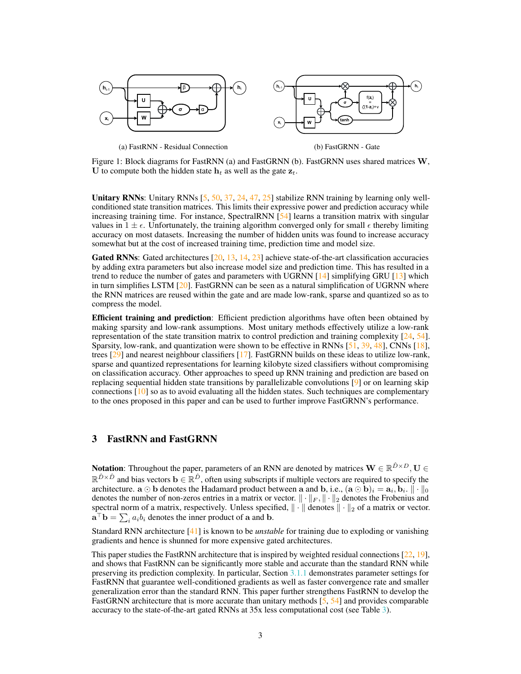

(a) FastRNN - Residual Connection



Figure 1: Block diagrams for FastRNN (a) and FastGRNN (b). FastGRNN uses shared matrices W, U to compute both the hidden state  $h_t$  as well as the gate  $z_t$ .

Unitary RNNs: Unitary RNNs  $[5, 50, 37, 24, 47, 25]$  $[5, 50, 37, 24, 47, 25]$  $[5, 50, 37, 24, 47, 25]$  $[5, 50, 37, 24, 47, 25]$  $[5, 50, 37, 24, 47, 25]$  $[5, 50, 37, 24, 47, 25]$  $[5, 50, 37, 24, 47, 25]$  $[5, 50, 37, 24, 47, 25]$  $[5, 50, 37, 24, 47, 25]$  $[5, 50, 37, 24, 47, 25]$  $[5, 50, 37, 24, 47, 25]$  stabilize RNN training by learning only wellconditioned state transition matrices. This limits their expressive power and prediction accuracy while increasing training time. For instance, SpectralRNN [\[54\]](#page-11-6) learns a transition matrix with singular values in  $1 \pm \epsilon$ . Unfortunately, the training algorithm converged only for small  $\epsilon$  thereby limiting accuracy on most datasets. Increasing the number of hidden units was found to increase accuracy somewhat but at the cost of increased training time, prediction time and model size.

**Gated RNNs:** Gated architectures  $[20, 13, 14, 23]$  $[20, 13, 14, 23]$  $[20, 13, 14, 23]$  $[20, 13, 14, 23]$  $[20, 13, 14, 23]$  $[20, 13, 14, 23]$  $[20, 13, 14, 23]$  achieve state-of-the-art classification accuracies by adding extra parameters but also increase model size and prediction time. This has resulted in a trend to reduce the number of gates and parameters with UGRNN [\[14\]](#page-9-8) simplifying GRU [\[13\]](#page-9-7) which in turn simplifies LSTM  $[20]$ . FastGRNN can be seen as a natural simplification of UGRNN where the RNN matrices are reused within the gate and are made low-rank, sparse and quantized so as to compress the model.

Efficient training and prediction: Efficient prediction algorithms have often been obtained by making sparsity and low-rank assumptions. Most unitary methods effectively utilize a low-rank representation of the state transition matrix to control prediction and training complexity [\[24,](#page-10-4) [54\]](#page-11-6). Sparsity, low-rank, and quantization were shown to be effective in RNNs [\[51,](#page-11-8) [39,](#page-10-11) [48\]](#page-11-9), CNNs [\[18\]](#page-10-12), trees [\[29\]](#page-10-1) and nearest neighbour classifiers [\[17\]](#page-9-0). FastGRNN builds on these ideas to utilize low-rank, sparse and quantized representations for learning kilobyte sized classifiers without compromising on classification accuracy. Other approaches to speed up RNN training and prediction are based on replacing sequential hidden state transitions by parallelizable convolutions [\[9\]](#page-9-10) or on learning skip connections [\[10\]](#page-9-11) so as to avoid evaluating all the hidden states. Such techniques are complementary to the ones proposed in this paper and can be used to further improve FastGRNN's performance.

## <span id="page-2-0"></span>3 FastRNN and FastGRNN

**Notation**: Throughout the paper, parameters of an RNN are denoted by matrices  $\mathbf{W} \in \mathbb{R}^{\hat{D} \times D}$ ,  $\mathbf{U} \in$  $\mathbb{R}^{\hat{D}\times\hat{D}}$  and bias vectors  $\mathbf{b}\in\mathbb{R}^{\hat{D}}$ , often using subscripts if multiple vectors are required to specify the architecture.  $\mathbf{a} \odot \mathbf{b}$  denotes the Hadamard product between  $\mathbf{a}$  and  $\mathbf{b}$ , i.e.,  $(\mathbf{a} \odot \mathbf{b})_i = \mathbf{a}_i, \mathbf{b}_i$ .  $\|\cdot\|_0$ denotes the number of non-zeros entries in a matrix or vector.  $\|\cdot\|_F$ ,  $\|\cdot\|_2$  denotes the Frobenius and spectral norm of a matrix, respectively. Unless specified,  $\|\cdot\|$  denotes  $\|\cdot\|_2$  of a matrix or vector.  $\mathbf{a}^{\top} \mathbf{b} = \sum_{i} a_i b_i$  denotes the inner product of a and b.

Standard RNN architecture [\[41\]](#page-11-10) is known to be *unstable* for training due to exploding or vanishing gradients and hence is shunned for more expensive gated architectures.

This paper studies the FastRNN architecture that is inspired by weighted residual connections [\[22,](#page-10-9) [19\]](#page-10-8), and shows that FastRNN can be significantly more stable and accurate than the standard RNN while preserving its prediction complexity. In particular, Section [3.1.1](#page-3-1) demonstrates parameter settings for FastRNN that guarantee well-conditioned gradients as well as faster convergence rate and smaller generalization error than the standard RNN. This paper further strengthens FastRNN to develop the FastGRNN architecture that is more accurate than unitary methods [\[5,](#page-9-6) [54\]](#page-11-6) and provides comparable accuracy to the state-of-the-art gated RNNs at 35x less computational cost (see Table [3\)](#page-7-0).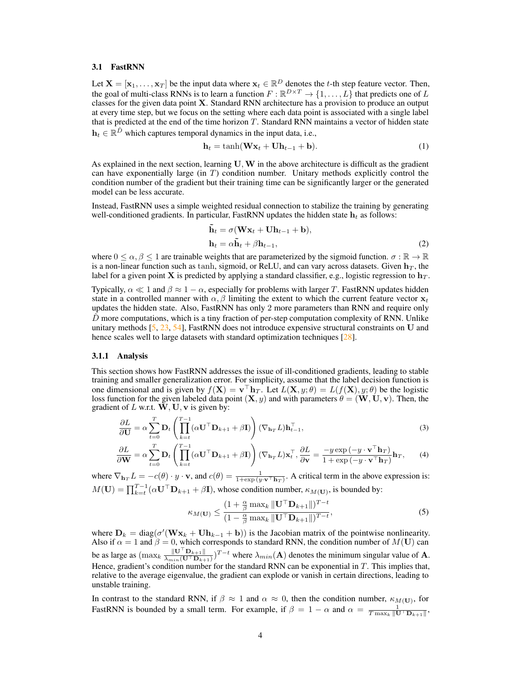#### 3.1 FastRNN

Let  $X = [\mathbf{x}_1, \dots, \mathbf{x}_T]$  be the input data where  $\mathbf{x}_t \in \mathbb{R}^D$  denotes the t-th step feature vector. Then, the goal of multi-class RNNs is to learn a function  $F : \mathbb{R}^{D \times T} \to \{1, \dots, L\}$  that predicts one of L classes for the given data point X. Standard RNN architecture has a provision to produce an output at every time step, but we focus on the setting where each data point is associated with a single label that is predicted at the end of the time horizon  $T$ . Standard RNN maintains a vector of hidden state  $\mathbf{h}_t \in \mathbb{R}^{\hat{D}}$  which captures temporal dynamics in the input data, i.e.,

$$
\mathbf{h}_t = \tanh(\mathbf{W}\mathbf{x}_t + \mathbf{U}\mathbf{h}_{t-1} + \mathbf{b}).\tag{1}
$$

As explained in the next section, learning  $U, W$  in the above architecture is difficult as the gradient can have exponentially large (in  $T$ ) condition number. Unitary methods explicitly control the condition number of the gradient but their training time can be significantly larger or the generated model can be less accurate.

Instead, FastRNN uses a simple weighted residual connection to stabilize the training by generating well-conditioned gradients. In particular, FastRNN updates the hidden state  $h_t$  as follows:

<span id="page-3-0"></span>
$$
\tilde{\mathbf{h}}_t = \sigma(\mathbf{W}\mathbf{x}_t + \mathbf{U}\mathbf{h}_{t-1} + \mathbf{b}), \n\mathbf{h}_t = \alpha \tilde{\mathbf{h}}_t + \beta \mathbf{h}_{t-1},
$$
\n(2)

where  $0 \le \alpha, \beta \le 1$  are trainable weights that are parameterized by the sigmoid function.  $\sigma : \mathbb{R} \to \mathbb{R}$ is a non-linear function such as tanh, sigmoid, or ReLU, and can vary across datasets. Given  $\mathbf{h}_T$ , the label for a given point X is predicted by applying a standard classifier, e.g., logistic regression to  $h_T$ .

Typically,  $\alpha \ll 1$  and  $\beta \approx 1 - \alpha$ , especially for problems with larger T. FastRNN updates hidden state in a controlled manner with  $\alpha$ ,  $\beta$  limiting the extent to which the current feature vector  $x_t$ updates the hidden state. Also, FastRNN has only 2 more parameters than RNN and require only  $\hat{D}$  more computations, which is a tiny fraction of per-step computation complexity of RNN. Unlike unitary methods  $[5, 23, 54]$  $[5, 23, 54]$  $[5, 23, 54]$  $[5, 23, 54]$  $[5, 23, 54]$ , FastRNN does not introduce expensive structural constraints on U and hence scales well to large datasets with standard optimization techniques [\[28\]](#page-10-13).

#### <span id="page-3-1"></span>3.1.1 Analysis

This section shows how FastRNN addresses the issue of ill-conditioned gradients, leading to stable training and smaller generalization error. For simplicity, assume that the label decision function is one dimensional and is given by  $f(\mathbf{X}) = \mathbf{v}^\top \mathbf{h}_T$ . Let  $L(\mathbf{X}, y; \theta) = L(f(\mathbf{X}), y; \theta)$  be the logistic loss function for the given labeled data point  $(X, y)$  and with parameters  $\theta = (W, U, v)$ . Then, the gradient of L w.r.t.  $\tilde{W}$ , U, v is given by:

$$
\frac{\partial L}{\partial \mathbf{U}} = \alpha \sum_{t=0}^{T} \mathbf{D}_t \left( \prod_{k=t}^{T-1} (\alpha \mathbf{U}^\top \mathbf{D}_{k+1} + \beta \mathbf{I}) \right) (\nabla_{\mathbf{h}_T} L) \mathbf{h}_{t-1}^\top,
$$
\n(3)

$$
\frac{\partial L}{\partial \mathbf{W}} = \alpha \sum_{t=0}^{T} \mathbf{D}_t \left( \prod_{k=t}^{T-1} (\alpha \mathbf{U}^\top \mathbf{D}_{k+1} + \beta \mathbf{I}) \right) (\nabla_{\mathbf{h}_T} L) \mathbf{x}_t^\top, \frac{\partial L}{\partial \mathbf{v}} = \frac{-y \exp(-y \cdot \mathbf{v}^\top \mathbf{h}_T)}{1 + \exp(-y \cdot \mathbf{v}^\top \mathbf{h}_T)} \mathbf{h}_T, \tag{4}
$$

where  $\nabla_{\mathbf{h}_T} L = -c(\theta) \cdot y \cdot \mathbf{v}$ , and  $c(\theta) = \frac{1}{1+\exp{(y \cdot \mathbf{v}^\top \mathbf{h}_T)}}$ . A critical term in the above expression is:  $M(\mathbf{U}) = \prod_{k=t}^{T-1} (\alpha \mathbf{U}^\top \mathbf{D}_{k+1} + \beta \mathbf{I})$ , whose condition number,  $\kappa_{M(\mathbf{U})}$ , is bounded by:

$$
\kappa_{M(\mathbf{U})} \leq \frac{(1 + \frac{\alpha}{\beta} \max_{k} \|\mathbf{U}^{\top} \mathbf{D}_{k+1}\|)^{T-t}}{(1 - \frac{\alpha}{\beta} \max_{k} \|\mathbf{U}^{\top} \mathbf{D}_{k+1}\|)^{T-t}},
$$
\n(5)

where  $\mathbf{D}_k = \text{diag}(\sigma'(\mathbf{W}\mathbf{x}_k + \mathbf{U}\mathbf{h}_{k-1} + \mathbf{b}))$  is the Jacobian matrix of the pointwise nonlinearity. Also if  $\alpha = 1$  and  $\beta = 0$ , which corresponds to standard RNN, the condition number of  $M(U)$  can be as large as  $(\max_k \frac{\|\mathbf{U}^{\top}\mathbf{D}_{k+1}\|}{\lambda_{\min}(\mathbf{U}^{\top}\mathbf{D}_{k+1})})$  $\frac{\|{\bf U}^{\top}{\bf D}_{k+1}\|}{\lambda_{min}({\bf U}^{\top}{\bf D}_{k+1})}$ <sup>T-t</sup> where  $\lambda_{min}({\bf A})$  denotes the minimum singular value of **A**. Hence, gradient's condition number for the standard RNN can be exponential in T. This implies that, relative to the average eigenvalue, the gradient can explode or vanish in certain directions, leading to unstable training.

In contrast to the standard RNN, if  $\beta \approx 1$  and  $\alpha \approx 0$ , then the condition number,  $\kappa_{M(U)}$ , for FastRNN is bounded by a small term. For example, if  $\beta = 1 - \alpha$  and  $\alpha = \frac{1}{T \max_{k} ||\mathbf{U}^{\top} \mathbf{D}_{k+1}||}$ ,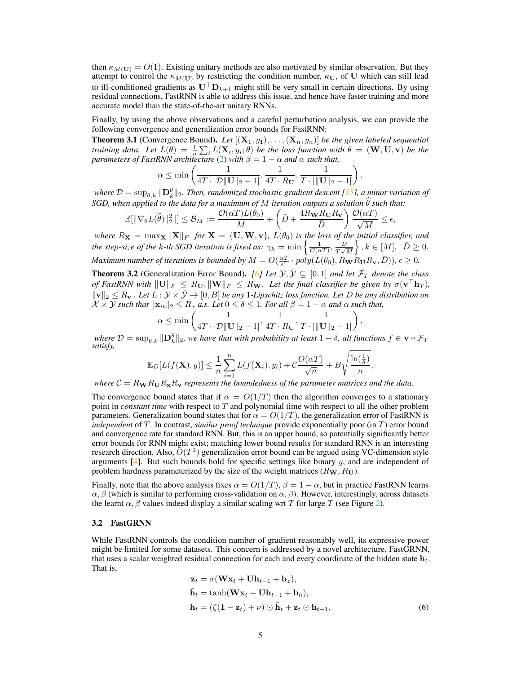then  $\kappa_{M(U)} = O(1)$ . Existing unitary methods are also motivated by similar observation. But they attempt to control the  $\kappa_{M(\mathbf{U})}$  by restricting the condition number,  $\kappa_{\mathbf{U}}$ , of U which can still lead to ill-conditioned gradients as  $U^{\top}D_{k+1}$  might still be very small in certain directions. By using residual connections, FastRNN is able to address this issue, and hence have faster training and more accurate model than the state-of-the-art unitary RNNs.

Finally, by using the above observations and a careful perturbation analysis, we can provide the following convergence and generalization error bounds for FastRNN:

<span id="page-4-0"></span>**Theorem 3.1** (Convergence Bound). Let  $[(\mathbf{X}_1, y_1), \ldots, (\mathbf{X}_n, y_n)]$  be the given labeled sequential *training data. Let*  $L(\theta) = \frac{1}{n} \sum_i L(\mathbf{X}_i, y_i; \theta)$  *be the loss function with*  $\theta = (\mathbf{W}, \mathbf{U}, \mathbf{v})$  *be the parameters of FastRNN architecture* [\(2\)](#page-3-0) *with*  $\beta = 1 - \alpha$  *and*  $\alpha$  *such that,* 

$$
\alpha \le \min\left(\frac{1}{4T \cdot |\mathcal{D}||\mathbf{U}||_2 - 1}, \frac{1}{4T \cdot R_{\mathbf{U}}}, \frac{1}{T \cdot |||\mathbf{U}||_2 - 1|}\right),\,
$$

where  $\mathcal{D} = \sup_{\theta, k} \|\mathbf{D}_k^{\theta}\|_2$ . Then, randomized stochastic gradient descent [\[15\]](#page-9-12), a minor variation of *SGD, when applied to the data for a maximum of* M *iteration outputs a solution*  $\theta$  *such that:* 

$$
\mathbb{E}[\|\nabla_{\theta} L(\widehat{\theta})\|_2^2\|] \leq \mathcal{B}_M := \frac{\mathcal{O}(\alpha T) L(\theta_0)}{M} + \left(\bar{D} + \frac{4R_{\mathbf{W}}R_{\mathbf{U}}R_{\mathbf{v}}}{\bar{D}}\right)\frac{\mathcal{O}(\alpha T)}{\sqrt{M}} \leq \epsilon,
$$

*where*  $R_X = \max_X ||X||_F$  *for*  $X = \{U, W, v\}$ *,*  $L(\theta_0)$  *is the loss of the initial classifier, and the step-size of the k-th SGD iteration is fixed as:*  $\gamma_k = \min \left\{ \frac{1}{\mathcal{O}(\alpha T)}, \frac{D}{T\sqrt{k}} \right\}$  $\left\{\frac{\bar{D}}{T\sqrt{M}}\right\}, k \in [M], \left[\bar{D}\geq 0\right].$ *Maximum number of iterations is bounded by*  $M = O(\frac{\alpha T}{\epsilon^2} \cdot poly(L(\theta_0), R_{\bf W} R_{\bf U} R_{\bf v}, \bar{D}))$ ,  $\epsilon \geq 0$ .

<span id="page-4-2"></span>**Theorem 3.2** (Generalization Error Bound). *[\[6\]](#page-9-13) Let*  $\mathcal{Y}, \hat{\mathcal{Y}} \subseteq [0,1]$  *and let*  $\mathcal{F}_T$  *denote the class of FastRNN with*  $||U||_F \le R_U, ||W||_F \le R_W$ . Let the final classifier be given by  $\sigma(\mathbf{v}^\top \mathbf{h}_T)$ ,  $\|\mathbf{v}\|_2 \leq R_\mathbf{v}$ . Let  $L : \mathcal{Y} \times \hat{\mathcal{Y}} \to [0, B]$  be any 1*-Lipschitz loss function. Let* D be any distribution on  $X \times Y$  *such that*  $\|\mathbf{x}_{it}\|_2 \leq R_x$  *a.s. Let*  $0 \leq \delta \leq 1$ *. For all*  $\beta = 1 - \alpha$  *and*  $\alpha$  *such that,* 

$$
\alpha \le \min\left(\frac{1}{4T \cdot |\mathcal{D}||\mathbf{U}||_2 - 1}, \frac{1}{4T \cdot R_{\mathbf{U}}}, \frac{1}{T \cdot |||\mathbf{U}||_2 - 1|}\right),\newline
$$
  

$$
\|\mathbf{D}^{\theta}\|_{\text{conver's function of the initial number of least 1, and for all } \theta \in \mathbb{R}^d.
$$

 $where \ D = \sup_{\theta, k} \|\mathbf{D}^{\theta}_{k}\|_2$ , we have that with probability at least  $1-\delta$ , all functions  $f \in \mathbf{v} \circ \mathcal{F}_T$ *satisfy,*

$$
\mathbb{E}_D[L(f(\mathbf{X}), y)] \leq \frac{1}{n} \sum_{i=1}^n L(f(\mathbf{X}_i), y_i) + C \frac{O(\alpha T)}{\sqrt{n}} + B \sqrt{\frac{\ln(\frac{1}{\delta})}{n}},
$$

*where*  $C = R_{\bf W} R_{\bf U} R_{\bf x} R_{\bf v}$  *represents the boundedness of the parameter matrices and the data.* 

The convergence bound states that if  $\alpha = O(1/T)$  then the algorithm converges to a stationary point in *constant time* with respect to T and polynomial time with respect to all the other problem parameters. Generalization bound states that for  $\alpha = O(1/T)$ , the generalization error of FastRNN is *independent* of T. In contrast, *similar proof technique* provide exponentially poor (in T) error bound and convergence rate for standard RNN. But, this is an upper bound, so potentially significantly better error bounds for RNN might exist; matching lower bound results for standard RNN is an interesting research direction. Also,  $\tilde{O}(T^2)$  generalization error bound can be argued using VC-dimension style arguments  $[4]$ . But such bounds hold for specific settings like binary  $y$ , and are independent of problem hardness parameterized by the size of the weight matrices  $(R_{\mathbf{W}}, R_{\mathbf{U}})$ .

Finally, note that the above analysis fixes  $\alpha = O(1/T)$ ,  $\beta = 1 - \alpha$ , but in practice FastRNN learns  $\alpha$ ,  $\beta$  (which is similar to performing cross-validation on  $\alpha$ ,  $\beta$ ). However, interestingly, across datasets the learnt  $\alpha$ ,  $\beta$  values indeed display a similar scaling wrt T for large T (see Figure [2\)](#page-8-0).

#### 3.2 FastGRNN

While FastRNN controls the condition number of gradient reasonably well, its expressive power might be limited for some datasets. This concern is addressed by a novel architecture, FastGRNN, that uses a scalar weighted residual connection for each and every coordinate of the hidden state  $h_t$ . That is,

<span id="page-4-1"></span>
$$
\mathbf{z}_{t} = \sigma(\mathbf{W}\mathbf{x}_{t} + \mathbf{U}\mathbf{h}_{t-1} + \mathbf{b}_{z}),
$$
  
\n
$$
\tilde{\mathbf{h}}_{t} = \tanh(\mathbf{W}\mathbf{x}_{t} + \mathbf{U}\mathbf{h}_{t-1} + \mathbf{b}_{h}),
$$
  
\n
$$
\mathbf{h}_{t} = (\zeta(\mathbf{1} - \mathbf{z}_{t}) + \nu) \odot \tilde{\mathbf{h}}_{t} + \mathbf{z}_{t} \odot \mathbf{h}_{t-1},
$$
\n(6)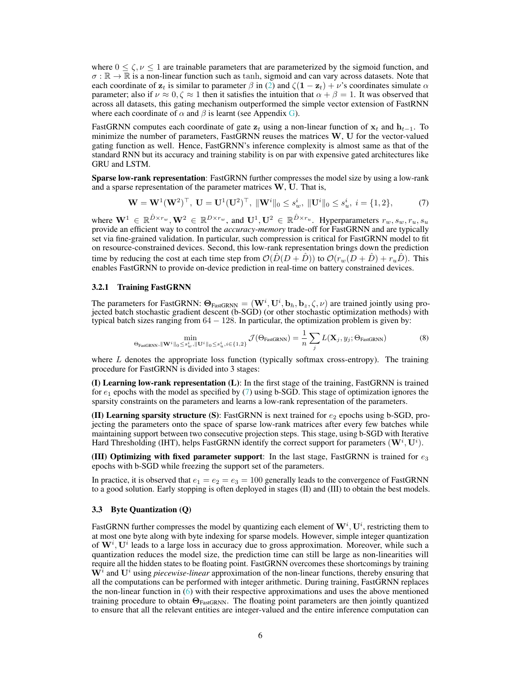where  $0 \le \zeta$ ,  $\nu \le 1$  are trainable parameters that are parameterized by the sigmoid function, and  $\sigma : \mathbb{R} \to \mathbb{R}$  is a non-linear function such as tanh, sigmoid and can vary across datasets. Note that each coordinate of  $z_t$  is similar to parameter  $\beta$  in [\(2\)](#page-3-0) and  $\zeta(1 - z_t) + \nu$ 's coordinates simulate  $\alpha$ parameter; also if  $\nu \approx 0, \zeta \approx 1$  then it satisfies the intuition that  $\alpha + \beta = 1$ . It was observed that across all datasets, this gating mechanism outperformed the simple vector extension of FastRNN where each coordinate of  $\alpha$  and  $\beta$  is learnt (see Appendix [G\)](#page-20-0).

FastGRNN computes each coordinate of gate  $z_t$  using a non-linear function of  $x_t$  and  $h_{t-1}$ . To minimize the number of parameters, FastGRNN reuses the matrices W, U for the vector-valued gating function as well. Hence, FastGRNN's inference complexity is almost same as that of the standard RNN but its accuracy and training stability is on par with expensive gated architectures like GRU and LSTM.

Sparse low-rank representation: FastGRNN further compresses the model size by using a low-rank and a sparse representation of the parameter matrices  $W$ ,  $U$ . That is,

<span id="page-5-0"></span>
$$
\mathbf{W} = \mathbf{W}^{1}(\mathbf{W}^{2})^{\top}, \ \mathbf{U} = \mathbf{U}^{1}(\mathbf{U}^{2})^{\top}, \ \|\mathbf{W}^{i}\|_{0} \leq s_{w}^{i}, \ \|\mathbf{U}^{i}\|_{0} \leq s_{u}^{i}, \ i = \{1, 2\},\tag{7}
$$

where  $\mathbf{W}^1 \in \mathbb{R}^{\hat{D} \times r_w}, \mathbf{W}^2 \in \mathbb{R}^{D \times r_w}$ , and  $\mathbf{U}^1, \mathbf{U}^2 \in \mathbb{R}^{\hat{D} \times r_u}$ . Hyperparameters  $r_w, s_w, r_u, s_u$ provide an efficient way to control the *accuracy-memory* trade-off for FastGRNN and are typically set via fine-grained validation. In particular, such compression is critical for FastGRNN model to fit on resource-constrained devices. Second, this low-rank representation brings down the prediction time by reducing the cost at each time step from  $\mathcal{O}(\hat{D}(D+\hat{D}))$  to  $\mathcal{O}(r_w(D+\hat{D})+r_u\hat{D})$ . This enables FastGRNN to provide on-device prediction in real-time on battery constrained devices.

#### 3.2.1 Training FastGRNN

The parameters for FastGRNN:  $\Theta_{\text{FastGRNN}} = (\mathbf{W}^i, \mathbf{U}^i, \mathbf{b}_h, \mathbf{b}_z, \zeta, \nu)$  are trained jointly using projected batch stochastic gradient descent (b-SGD) (or other stochastic optimization methods) with typical batch sizes ranging from  $64 - 128$ . In particular, the optimization problem is given by:

$$
\min_{\Theta_{\text{FastGRNN}}, ||\mathbf{W}^i||_0 \leq s_w^i, ||\mathbf{U}^i||_0 \leq s_w^i, i \in \{1,2\}} \mathcal{J}(\Theta_{\text{FastGRNN}}) = \frac{1}{n} \sum_j L(\mathbf{X}_j, y_j; \Theta_{\text{FastGRNN}})
$$
(8)

where  $L$  denotes the appropriate loss function (typically softmax cross-entropy). The training procedure for FastGRNN is divided into 3 stages:

(I) Learning low-rank representation (L): In the first stage of the training, FastGRNN is trained for  $e_1$  epochs with the model as specified by [\(7\)](#page-5-0) using b-SGD. This stage of optimization ignores the sparsity constraints on the parameters and learns a low-rank representation of the parameters.

(II) Learning sparsity structure (S): FastGRNN is next trained for  $e_2$  epochs using b-SGD, projecting the parameters onto the space of sparse low-rank matrices after every few batches while maintaining support between two consecutive projection steps. This stage, using b-SGD with Iterative Hard Thresholding (IHT), helps FastGRNN identify the correct support for parameters  $(\mathbf{W}^i, \mathbf{U}^i)$ .

(III) Optimizing with fixed parameter support: In the last stage, FastGRNN is trained for  $e_3$ epochs with b-SGD while freezing the support set of the parameters.

In practice, it is observed that  $e_1 = e_2 = e_3 = 100$  generally leads to the convergence of FastGRNN to a good solution. Early stopping is often deployed in stages (II) and (III) to obtain the best models.

#### 3.3 Byte Quantization (Q)

FastGRNN further compresses the model by quantizing each element of  $\mathbf{W}^i, \mathbf{U}^i$ , restricting them to at most one byte along with byte indexing for sparse models. However, simple integer quantization of  $W^i$ ,  $U^i$  leads to a large loss in accuracy due to gross approximation. Moreover, while such a quantization reduces the model size, the prediction time can still be large as non-linearities will require all the hidden states to be floating point. FastGRNN overcomes these shortcomings by training  $W<sup>i</sup>$  and  $U<sup>i</sup>$  using *piecewise-linear* approximation of the non-linear functions, thereby ensuring that all the computations can be performed with integer arithmetic. During training, FastGRNN replaces the non-linear function in [\(6\)](#page-4-1) with their respective approximations and uses the above mentioned training procedure to obtain ΘFastGRNN. The floating point parameters are then jointly quantized to ensure that all the relevant entities are integer-valued and the entire inference computation can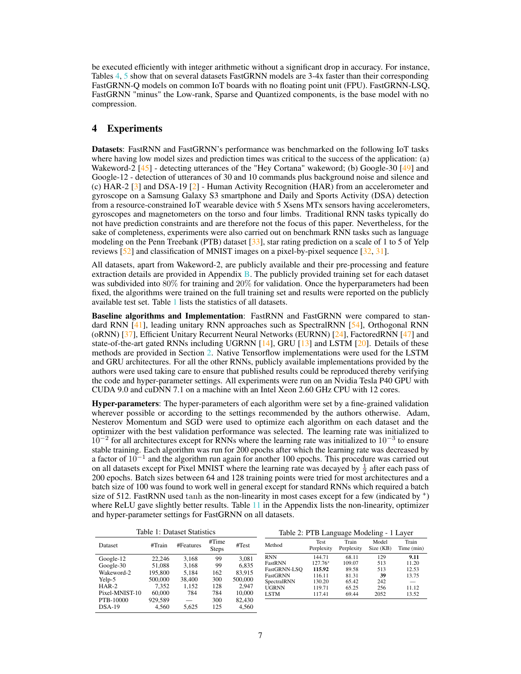be executed efficiently with integer arithmetic without a significant drop in accuracy. For instance, Tables [4,](#page-8-1) [5](#page-8-1) show that on several datasets FastGRNN models are 3-4x faster than their corresponding FastGRNN-Q models on common IoT boards with no floating point unit (FPU). FastGRNN-LSQ, FastGRNN "minus" the Low-rank, Sparse and Quantized components, is the base model with no compression.

## 4 Experiments

Datasets: FastRNN and FastGRNN's performance was benchmarked on the following IoT tasks where having low model sizes and prediction times was critical to the success of the application: (a) Wakeword-2  $[45]$  - detecting utterances of the "Hey Cortana" wakeword; (b) Google-30  $[49]$  and Google-12 - detection of utterances of 30 and 10 commands plus background noise and silence and (c) HAR-2 [\[3\]](#page-9-4) and DSA-19 [\[2\]](#page-9-5) - Human Activity Recognition (HAR) from an accelerometer and gyroscope on a Samsung Galaxy S3 smartphone and Daily and Sports Activity (DSA) detection from a resource-constrained IoT wearable device with 5 Xsens MTx sensors having accelerometers, gyroscopes and magnetometers on the torso and four limbs. Traditional RNN tasks typically do not have prediction constraints and are therefore not the focus of this paper. Nevertheless, for the sake of completeness, experiments were also carried out on benchmark RNN tasks such as language modeling on the Penn Treebank (PTB) dataset [\[33\]](#page-10-14), star rating prediction on a scale of 1 to 5 of Yelp reviews [\[52\]](#page-11-13) and classification of MNIST images on a pixel-by-pixel sequence [\[32,](#page-10-15) [31\]](#page-10-16).

All datasets, apart from Wakeword-2, are publicly available and their pre-processing and feature extraction details are provided in Appendix [B.](#page-17-0) The publicly provided training set for each dataset was subdivided into 80% for training and 20% for validation. Once the hyperparameters had been fixed, the algorithms were trained on the full training set and results were reported on the publicly available test set. Table [1](#page-6-0) lists the statistics of all datasets.

Baseline algorithms and Implementation: FastRNN and FastGRNN were compared to standard RNN [\[41\]](#page-11-10), leading unitary RNN approaches such as SpectralRNN [\[54\]](#page-11-6), Orthogonal RNN (oRNN) [\[37\]](#page-10-5), Efficient Unitary Recurrent Neural Networks (EURNN) [\[24\]](#page-10-4), FactoredRNN [\[47\]](#page-11-4) and state-of-the-art gated RNNs including UGRNN [\[14\]](#page-9-8), GRU [\[13\]](#page-9-7) and LSTM [\[20\]](#page-10-7). Details of these methods are provided in Section [2.](#page-1-0) Native Tensorflow implementations were used for the LSTM and GRU architectures. For all the other RNNs, publicly available implementations provided by the authors were used taking care to ensure that published results could be reproduced thereby verifying the code and hyper-parameter settings. All experiments were run on an Nvidia Tesla P40 GPU with CUDA 9.0 and cuDNN 7.1 on a machine with an Intel Xeon 2.60 GHz CPU with 12 cores.

Hyper-parameters: The hyper-parameters of each algorithm were set by a fine-grained validation wherever possible or according to the settings recommended by the authors otherwise. Adam, Nesterov Momentum and SGD were used to optimize each algorithm on each dataset and the optimizer with the best validation performance was selected. The learning rate was initialized to  $10^{-2}$  for all architectures except for RNNs where the learning rate was initialized to  $10^{-3}$  to ensure stable training. Each algorithm was run for 200 epochs after which the learning rate was decreased by a factor of 10<sup>-1</sup> and the algorithm run again for another 100 epochs. This procedure was carried out on all datasets except for Pixel MNIST where the learning rate was decayed by  $\frac{1}{2}$  after each pass of 200 epochs. Batch sizes between 64 and 128 training points were tried for most architectures and a batch size of 100 was found to work well in general except for standard RNNs which required a batch size of 512. FastRNN used tanh as the non-linearity in most cases except for a few (indicated by  $^{+}$ ) where ReLU gave slightly better results. Table [11](#page-21-0) in the Appendix lists the non-linearity, optimizer and hyper-parameter settings for FastGRNN on all datasets.

<span id="page-6-0"></span>

|                |         | Table 1: Dataset Statistics |                       |         | Table 2: PTB Language Modeling - 1 Layer |                    |                     |                    |                     |
|----------------|---------|-----------------------------|-----------------------|---------|------------------------------------------|--------------------|---------------------|--------------------|---------------------|
| Dataset        | #Train  | #Features                   | #Time<br><b>Steps</b> | #Test   | Method                                   | Test<br>Perplexity | Train<br>Perplexity | Model<br>Size (KB) | Train<br>Time (min) |
| Google-12      | 22.246  | 3.168                       | 99                    | 3.081   | <b>RNN</b>                               | 144.71             | 68.11               | 129                | 9.11                |
| Google-30      | 51.088  | 3,168                       | 99                    | 6.835   | FastRNN                                  | $127.76+$          | 109.07              | 513                | 11.20               |
| Wakeword-2     | 195.800 | 5.184                       | 162                   | 83,915  | FastGRNN-LSO                             | 115.92             | 89.58               | 513                | 12.53               |
|                |         |                             |                       |         | FastGRNN                                 | 116.11             | 81.31               | 39                 | 13.75               |
| Yelp-5         | 500,000 | 38,400                      | 300                   | 500,000 | SpectralRNN                              | 130.20             | 65.42               | 242                |                     |
| HAR-2          | 7.352   | 1.152                       | 128                   | 2.947   | <b>UGRNN</b>                             | 119.71             | 65.25               | 256                | 11.12               |
| Pixel-MNIST-10 | 60,000  | 784                         | 784                   | 10.000  | <b>LSTM</b>                              | 117.41             | 69.44               | 2052               | 13.52               |
| PTB-10000      | 929.589 |                             | 300                   | 82,430  |                                          |                    |                     |                    |                     |
| $DSA-19$       | 4.560   | 5.625                       | 125                   | 4.560   |                                          |                    |                     |                    |                     |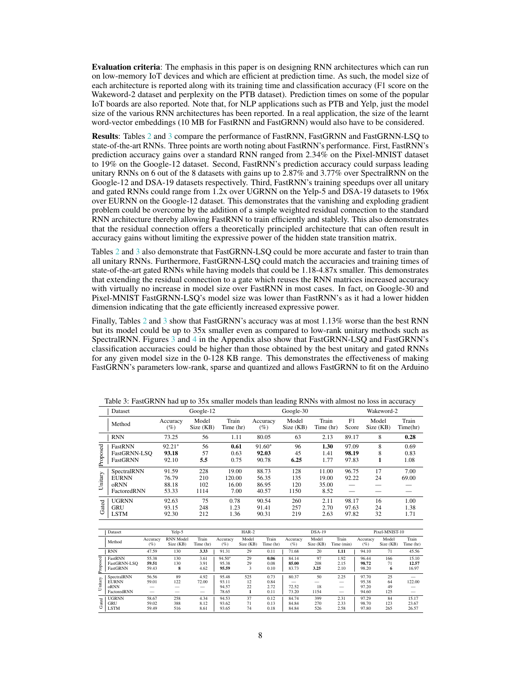Evaluation criteria: The emphasis in this paper is on designing RNN architectures which can run on low-memory IoT devices and which are efficient at prediction time. As such, the model size of each architecture is reported along with its training time and classification accuracy (F1 score on the Wakeword-2 dataset and perplexity on the PTB dataset). Prediction times on some of the popular IoT boards are also reported. Note that, for NLP applications such as PTB and Yelp, just the model size of the various RNN architectures has been reported. In a real application, the size of the learnt word-vector embeddings (10 MB for FastRNN and FastGRNN) would also have to be considered.

Results: Tables [2](#page-6-0) and [3](#page-7-0) compare the performance of FastRNN, FastGRNN and FastGRNN-LSQ to state-of-the-art RNNs. Three points are worth noting about FastRNN's performance. First, FastRNN's prediction accuracy gains over a standard RNN ranged from 2.34% on the Pixel-MNIST dataset to 19% on the Google-12 dataset. Second, FastRNN's prediction accuracy could surpass leading unitary RNNs on 6 out of the 8 datasets with gains up to 2.87% and 3.77% over SpectralRNN on the Google-12 and DSA-19 datasets respectively. Third, FastRNN's training speedups over all unitary and gated RNNs could range from 1.2x over UGRNN on the Yelp-5 and DSA-19 datasets to 196x over EURNN on the Google-12 dataset. This demonstrates that the vanishing and exploding gradient problem could be overcome by the addition of a simple weighted residual connection to the standard RNN architecture thereby allowing FastRNN to train efficiently and stablely. This also demonstrates that the residual connection offers a theoretically principled architecture that can often result in accuracy gains without limiting the expressive power of the hidden state transition matrix.

Tables [2](#page-6-0) and [3](#page-7-0) also demonstrate that FastGRNN-LSQ could be more accurate and faster to train than all unitary RNNs. Furthermore, FastGRNN-LSQ could match the accuracies and training times of state-of-the-art gated RNNs while having models that could be 1.18-4.87x smaller. This demonstrates that extending the residual connection to a gate which reuses the RNN matrices increased accuracy with virtually no increase in model size over FastRNN in most cases. In fact, on Google-30 and Pixel-MNIST FastGRNN-LSQ's model size was lower than FastRNN's as it had a lower hidden dimension indicating that the gate efficiently increased expressive power.

Finally, Tables [2](#page-6-0) and [3](#page-7-0) show that FastGRNN's accuracy was at most 1.13% worse than the best RNN but its model could be up to 35x smaller even as compared to low-rank unitary methods such as SpectralRNN. Figures [3](#page-18-0) and [4](#page-18-1) in the Appendix also show that FastGRNN-LSQ and FastGRNN's classification accuracies could be higher than those obtained by the best unitary and gated RNNs for any given model size in the 0-128 KB range. This demonstrates the effectiveness of making FastGRNN's parameters low-rank, sparse and quantized and allows FastGRNN to fit on the Arduino

<span id="page-7-0"></span>

|          | Table 5. I astORT THE HAY THE WOODS SHILLER HOUGHS than IGAUILE IN THIS WILLI AMOST THE INCOME IN |                        |                    |                    |                 |                    |                    |             |                    |                   |  |  |
|----------|---------------------------------------------------------------------------------------------------|------------------------|--------------------|--------------------|-----------------|--------------------|--------------------|-------------|--------------------|-------------------|--|--|
|          | Dataset                                                                                           | Google-12<br>Google-30 |                    |                    |                 |                    |                    | Wakeword-2  |                    |                   |  |  |
|          | Method                                                                                            | Accuracy<br>(%)        | Model<br>Size (KB) | Train<br>Time (hr) | Accuracy<br>(%) | Model<br>Size (KB) | Train<br>Time (hr) | F1<br>Score | Model<br>Size (KB) | Train<br>Time(hr) |  |  |
|          | <b>RNN</b>                                                                                        | 73.25                  | 56                 | 1.11               | 80.05           | 63                 | 2.13               | 89.17       | 8                  | 0.28              |  |  |
|          | FastRNN                                                                                           | $92.21$ <sup>+</sup>   | 56                 | 0.61               | $91.60+$        | 96                 | 1.30               | 97.09       | 8                  | 0.69              |  |  |
|          | FastGRNN-LSO                                                                                      | 93.18                  | 57                 | 0.63               | 92.03           | 45                 | 1.41               | 98.19       | 8                  | 0.83              |  |  |
| Proposed | FastGRNN                                                                                          | 92.10                  | 5.5                | 0.75               | 90.78           | 6.25               | 1.77               | 97.83       | 1                  | 1.08              |  |  |
|          | SpectralRNN                                                                                       | 91.59                  | 228                | 19.00              | 88.73           | 128                | 11.00              | 96.75       | 17                 | 7.00              |  |  |
|          | <b>EURNN</b>                                                                                      | 76.79                  | 210                | 120.00             | 56.35           | 135                | 19.00              | 92.22       | 24                 | 69.00             |  |  |
| Unitary  | oRNN                                                                                              | 88.18                  | 102                | 16.00              | 86.95           | 120                | 35.00              |             |                    |                   |  |  |
|          | FactoredRNN                                                                                       | 53.33                  | 1114               | 7.00               | 40.57           | 1150               | 8.52               |             |                    |                   |  |  |
|          | <b>UGRNN</b>                                                                                      | 92.63                  | 75                 | 0.78               | 90.54           | 260                | 2.11               | 98.17       | 16                 | 1.00              |  |  |
| Gated    | <b>GRU</b>                                                                                        | 93.15                  | 248                | 1.23               | 91.41           | 257                | 2.70               | 97.63       | 24                 | 1.38              |  |  |
|          | <b>LSTM</b>                                                                                       | 92.30                  | 212                | 1.36               | 90.31           | 219                | 2.63               | 97.82       | 32                 | 1.71              |  |  |

Table 3: FastGRNN had up to 35x smaller models than leading RNNs with almost no loss in accuracy

|          | Dataset      |                 | Yelp-5                        |                          |                    | $HAR-2$            |                    |                 | $DSA-19$           |                     |                 | Pixel-MNIST-10     |                    |
|----------|--------------|-----------------|-------------------------------|--------------------------|--------------------|--------------------|--------------------|-----------------|--------------------|---------------------|-----------------|--------------------|--------------------|
|          | Method       | Accuracy<br>(%) | <b>RNN</b> Model<br>Size (KB) | Train<br>Time (hr)       | Accuracy<br>$(\%)$ | Model<br>Size (KB) | Train<br>Time (hr) | Accuracy<br>(%) | Model<br>Size (KB) | Train<br>Time (min) | Accuracy<br>(%) | Model<br>Size (KB) | Train<br>Time (hr) |
|          | <b>RNN</b>   | 47.59           | 130                           | 3.33                     | 91.31              | 29                 | 0.11               | 71.68           | 20                 | 1.11                | 94.10           | 71                 | 45.56              |
|          | FastRNN      | 55.38           | 130                           | 3.61                     | $94.50+$           | 29                 | 0.06               | 84.14           | 97                 | 1.92                | 96.44           | 166                | 15.10              |
|          | FastGRNN-LSO | 59.51           | 130                           | 3.91                     | 95.38              | 29                 | 0.08               | 85.00           | 208                | 2.15                | 98.72           | 71                 | 12.57              |
| Proposed | FastGRNN     | 59.43           | 8                             | 4.62                     | 95.59              | 3                  | 0.10               | 83.73           | 3.25               | 2.10                | 98.20           | 6                  | 16.97              |
|          | SpectralRNN  | 56.56           | 89                            | 4.92                     | 95.48              | 525                | 0.73               | 80.37           | 50                 | 2.25                | 97.70           | 25                 |                    |
|          | <b>EURNN</b> | 59.01           | 122                           | 72.00                    | 93.11              | 12                 | 0.84               | --              | -                  | —                   | 95.38           | 64                 | 122.00             |
| Unitary  | oRNN         |                 |                               | –                        | 94.57              | 22                 | 2.72               | 72.52           | 18                 | –                   | 97.20           | 49                 |                    |
|          | FactoredRNN  |                 |                               | $\overline{\phantom{0}}$ | 78.65              |                    | 0.11               | 73.20           | 1154               |                     | 94.60           | 125                |                    |
|          | <b>UGRNN</b> | 58.67           | 258                           | 4.34                     | 94.53              | 37                 | 0.12               | 84.74           | 399                | 2.31                | 97.29           | 84                 | 15.17              |
| Gated    | <b>GRU</b>   | 59.02           | 388                           | 8.12                     | 93.62              | 71                 | 0.13               | 84.84           | 270                | 2.33                | 98.70           | 123                | 23.67              |
|          | <b>LSTM</b>  | 59.49           | 516                           | 8.61                     | 93.65              | 74                 | 0.18               | 84.84           | 526                | 2.58                | 97.80           | 265                | 26.57              |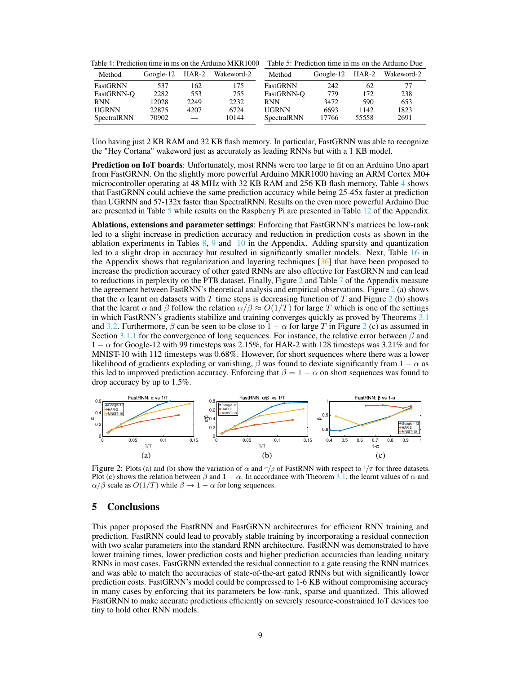<span id="page-8-1"></span>Table 4: Prediction time in ms on the Arduino MKR1000 Table 5: Prediction time in ms on the Arduino Due

| Method       | Google-12 | HAR-2 | Wakeword-2 | Method       | $Google-12$ $HAR-2$ |       | Wakeword-2 |
|--------------|-----------|-------|------------|--------------|---------------------|-------|------------|
| FastGRNN     | 537       | 62    | 175        | FastGRNN     | 242                 | 62    | 77         |
| FastGRNN-O   | 2282      | 553   | 755        | FastGRNN-O   | 779                 | 172   | 238        |
| <b>RNN</b>   | 12028     | 2249  | 2232       | <b>RNN</b>   | 3472                | 590   | 653        |
| <b>UGRNN</b> | 22875     | 4207  | 6724       | <b>UGRNN</b> | 6693                | 1142  | 1823       |
| SpectralRNN  | 70902     |       | 10144      | SpectralRNN  | 17766               | 55558 | 2691       |

Uno having just 2 KB RAM and 32 KB flash memory. In particular, FastGRNN was able to recognize the "Hey Cortana" wakeword just as accurately as leading RNNs but with a 1 KB model.

Prediction on IoT boards: Unfortunately, most RNNs were too large to fit on an Arduino Uno apart from FastGRNN. On the slightly more powerful Arduino MKR1000 having an ARM Cortex M0+ microcontroller operating at 48 MHz with 32 KB RAM and 256 KB flash memory, Table [4](#page-8-1) shows that FastGRNN could achieve the same prediction accuracy while being 25-45x faster at prediction than UGRNN and 57-132x faster than SpectralRNN. Results on the even more powerful Arduino Due are presented in Table [5](#page-8-1) while results on the Raspberry Pi are presented in Table [12](#page-21-1) of the Appendix.

Ablations, extensions and parameter settings: Enforcing that FastGRNN's matrices be low-rank led to a slight increase in prediction accuracy and reduction in prediction costs as shown in the ablation experiments in Tables  $8, 9$  $8, 9$  $8, 9$  and  $10$  in the Appendix. Adding sparsity and quantization led to a slight drop in accuracy but resulted in significantly smaller models. Next, Table [16](#page-22-0) in the Appendix shows that regularization and layering techniques [\[36\]](#page-10-17) that have been proposed to increase the prediction accuracy of other gated RNNs are also effective for FastGRNN and can lead to reductions in perplexity on the PTB dataset. Finally, Figure [2](#page-8-0) and Table [7](#page-19-0) of the Appendix measure the agreement between FastRNN's theoretical analysis and empirical observations. Figure [2](#page-8-0) (a) shows that the  $\alpha$  learnt on datasets with T time steps is decreasing function of T and Figure [2](#page-8-0) (b) shows that the learnt  $\alpha$  and  $\beta$  follow the relation  $\alpha/\beta \approx O(1/T)$  for large T which is one of the settings in which FastRNN's gradients stabilize and training converges quickly as proved by Theorems [3.1](#page-4-0) and [3.2.](#page-4-2) Furthermore,  $\beta$  can be seen to be close to  $1 - \alpha$  for large T in Figure [2](#page-8-0) (c) as assumed in Section [3.1.1](#page-3-1) for the convergence of long sequences. For instance, the relative error between  $\beta$  and  $1 - \alpha$  for Google-12 with 99 timesteps was 2.15%, for HAR-2 with 128 timesteps was 3.21% and for MNIST-10 with 112 timesteps was 0.68%. However, for short sequences where there was a lower likelihood of gradients exploding or vanishing,  $\beta$  was found to deviate significantly from 1 –  $\alpha$  as this led to improved prediction accuracy. Enforcing that  $\beta = 1 - \alpha$  on short sequences was found to drop accuracy by up to 1.5%.

<span id="page-8-0"></span>

Figure 2: Plots (a) and (b) show the variation of  $\alpha$  and  $\alpha/\beta$  of FastRNN with respect to  $1/T$  for three datasets. Plot (c) shows the relation between  $\beta$  and  $1 - \alpha$ . In accordance with Theorem [3.1,](#page-4-0) the learnt values of  $\alpha$  and  $\alpha/\beta$  scale as  $O(1/T)$  while  $\beta \to 1 - \alpha$  for long sequences.

# 5 Conclusions

This paper proposed the FastRNN and FastGRNN architectures for efficient RNN training and prediction. FastRNN could lead to provably stable training by incorporating a residual connection with two scalar parameters into the standard RNN architecture. FastRNN was demonstrated to have lower training times, lower prediction costs and higher prediction accuracies than leading unitary RNNs in most cases. FastGRNN extended the residual connection to a gate reusing the RNN matrices and was able to match the accuracies of state-of-the-art gated RNNs but with significantly lower prediction costs. FastGRNN's model could be compressed to 1-6 KB without compromising accuracy in many cases by enforcing that its parameters be low-rank, sparse and quantized. This allowed FastGRNN to make accurate predictions efficiently on severely resource-constrained IoT devices too tiny to hold other RNN models.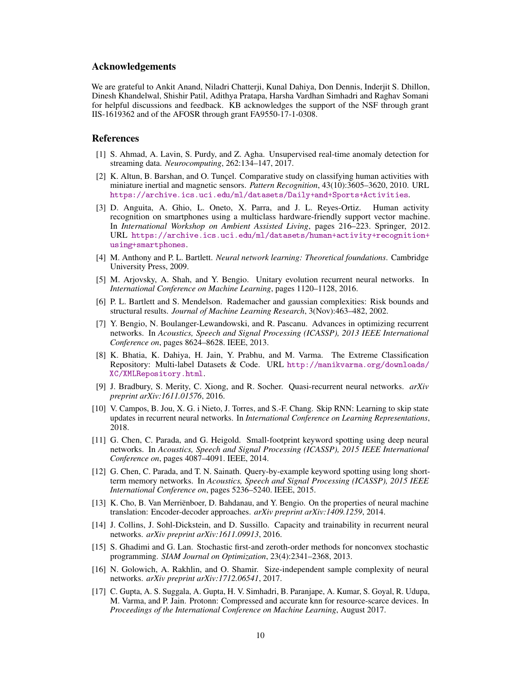## Acknowledgements

We are grateful to Ankit Anand, Niladri Chatterji, Kunal Dahiya, Don Dennis, Inderjit S. Dhillon, Dinesh Khandelwal, Shishir Patil, Adithya Pratapa, Harsha Vardhan Simhadri and Raghav Somani for helpful discussions and feedback. KB acknowledges the support of the NSF through grant IIS-1619362 and of the AFOSR through grant FA9550-17-1-0308.

#### References

- <span id="page-9-3"></span>[1] S. Ahmad, A. Lavin, S. Purdy, and Z. Agha. Unsupervised real-time anomaly detection for streaming data. *Neurocomputing*, 262:134–147, 2017.
- <span id="page-9-5"></span>[2] K. Altun, B. Barshan, and O. Tunçel. Comparative study on classifying human activities with miniature inertial and magnetic sensors. *Pattern Recognition*, 43(10):3605–3620, 2010. URL <https://archive.ics.uci.edu/ml/datasets/Daily+and+Sports+Activities>.
- <span id="page-9-4"></span>[3] D. Anguita, A. Ghio, L. Oneto, X. Parra, and J. L. Reyes-Ortiz. Human activity recognition on smartphones using a multiclass hardware-friendly support vector machine. In *International Workshop on Ambient Assisted Living*, pages 216–223. Springer, 2012. URL [https://archive.ics.uci.edu/ml/datasets/human+activity+recognition+](https://archive.ics.uci.edu/ml/datasets/human+activity+recognition+using+smartphones) [using+smartphones](https://archive.ics.uci.edu/ml/datasets/human+activity+recognition+using+smartphones).
- <span id="page-9-14"></span>[4] M. Anthony and P. L. Bartlett. *Neural network learning: Theoretical foundations*. Cambridge University Press, 2009.
- <span id="page-9-6"></span>[5] M. Arjovsky, A. Shah, and Y. Bengio. Unitary evolution recurrent neural networks. In *International Conference on Machine Learning*, pages 1120–1128, 2016.
- <span id="page-9-13"></span>[6] P. L. Bartlett and S. Mendelson. Rademacher and gaussian complexities: Risk bounds and structural results. *Journal of Machine Learning Research*, 3(Nov):463–482, 2002.
- <span id="page-9-9"></span>[7] Y. Bengio, N. Boulanger-Lewandowski, and R. Pascanu. Advances in optimizing recurrent networks. In *Acoustics, Speech and Signal Processing (ICASSP), 2013 IEEE International Conference on*, pages 8624–8628. IEEE, 2013.
- <span id="page-9-16"></span>[8] K. Bhatia, K. Dahiya, H. Jain, Y. Prabhu, and M. Varma. The Extreme Classification Repository: Multi-label Datasets & Code. URL [http://manikvarma.org/downloads/](http://manikvarma.org/downloads/XC/XMLRepository.html) [XC/XMLRepository.html](http://manikvarma.org/downloads/XC/XMLRepository.html).
- <span id="page-9-10"></span>[9] J. Bradbury, S. Merity, C. Xiong, and R. Socher. Quasi-recurrent neural networks. *arXiv preprint arXiv:1611.01576*, 2016.
- <span id="page-9-11"></span>[10] V. Campos, B. Jou, X. G. i Nieto, J. Torres, and S.-F. Chang. Skip RNN: Learning to skip state updates in recurrent neural networks. In *International Conference on Learning Representations*, 2018.
- <span id="page-9-1"></span>[11] G. Chen, C. Parada, and G. Heigold. Small-footprint keyword spotting using deep neural networks. In *Acoustics, Speech and Signal Processing (ICASSP), 2015 IEEE International Conference on*, pages 4087–4091. IEEE, 2014.
- <span id="page-9-2"></span>[12] G. Chen, C. Parada, and T. N. Sainath. Query-by-example keyword spotting using long shortterm memory networks. In *Acoustics, Speech and Signal Processing (ICASSP), 2015 IEEE International Conference on*, pages 5236–5240. IEEE, 2015.
- <span id="page-9-7"></span>[13] K. Cho, B. Van Merriënboer, D. Bahdanau, and Y. Bengio. On the properties of neural machine translation: Encoder-decoder approaches. *arXiv preprint arXiv:1409.1259*, 2014.
- <span id="page-9-8"></span>[14] J. Collins, J. Sohl-Dickstein, and D. Sussillo. Capacity and trainability in recurrent neural networks. *arXiv preprint arXiv:1611.09913*, 2016.
- <span id="page-9-12"></span>[15] S. Ghadimi and G. Lan. Stochastic first-and zeroth-order methods for nonconvex stochastic programming. *SIAM Journal on Optimization*, 23(4):2341–2368, 2013.
- <span id="page-9-15"></span>[16] N. Golowich, A. Rakhlin, and O. Shamir. Size-independent sample complexity of neural networks. *arXiv preprint arXiv:1712.06541*, 2017.
- <span id="page-9-0"></span>[17] C. Gupta, A. S. Suggala, A. Gupta, H. V. Simhadri, B. Paranjape, A. Kumar, S. Goyal, R. Udupa, M. Varma, and P. Jain. Protonn: Compressed and accurate knn for resource-scarce devices. In *Proceedings of the International Conference on Machine Learning*, August 2017.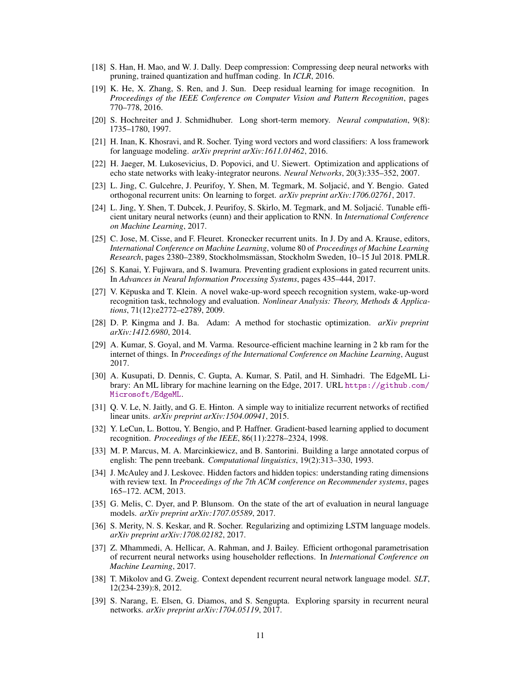- <span id="page-10-12"></span>[18] S. Han, H. Mao, and W. J. Dally. Deep compression: Compressing deep neural networks with pruning, trained quantization and huffman coding. In *ICLR*, 2016.
- <span id="page-10-8"></span>[19] K. He, X. Zhang, S. Ren, and J. Sun. Deep residual learning for image recognition. In *Proceedings of the IEEE Conference on Computer Vision and Pattern Recognition*, pages 770–778, 2016.
- <span id="page-10-7"></span>[20] S. Hochreiter and J. Schmidhuber. Long short-term memory. *Neural computation*, 9(8): 1735–1780, 1997.
- <span id="page-10-20"></span>[21] H. Inan, K. Khosravi, and R. Socher. Tying word vectors and word classifiers: A loss framework for language modeling. *arXiv preprint arXiv:1611.01462*, 2016.
- <span id="page-10-9"></span>[22] H. Jaeger, M. Lukosevicius, D. Popovici, and U. Siewert. Optimization and applications of echo state networks with leaky-integrator neurons. *Neural Networks*, 20(3):335–352, 2007.
- <span id="page-10-10"></span>[23] L. Jing, C. Gulcehre, J. Peurifoy, Y. Shen, M. Tegmark, M. Soljacić, and Y. Bengio. Gated orthogonal recurrent units: On learning to forget. *arXiv preprint arXiv:1706.02761*, 2017.
- <span id="page-10-4"></span>[24] L. Jing, Y. Shen, T. Dubcek, J. Peurifoy, S. Skirlo, M. Tegmark, and M. Soljacić. Tunable efficient unitary neural networks (eunn) and their application to RNN. In *International Conference on Machine Learning*, 2017.
- <span id="page-10-6"></span>[25] C. Jose, M. Cisse, and F. Fleuret. Kronecker recurrent units. In J. Dy and A. Krause, editors, *International Conference on Machine Learning*, volume 80 of *Proceedings of Machine Learning Research*, pages 2380–2389, Stockholmsmässan, Stockholm Sweden, 10–15 Jul 2018. PMLR.
- <span id="page-10-3"></span>[26] S. Kanai, Y. Fujiwara, and S. Iwamura. Preventing gradient explosions in gated recurrent units. In *Advances in Neural Information Processing Systems*, pages 435–444, 2017.
- <span id="page-10-2"></span>[27] V. Këpuska and T. Klein. A novel wake-up-word speech recognition system, wake-up-word recognition task, technology and evaluation. *Nonlinear Analysis: Theory, Methods & Applications*, 71(12):e2772–e2789, 2009.
- <span id="page-10-13"></span>[28] D. P. Kingma and J. Ba. Adam: A method for stochastic optimization. *arXiv preprint arXiv:1412.6980*, 2014.
- <span id="page-10-1"></span>[29] A. Kumar, S. Goyal, and M. Varma. Resource-efficient machine learning in 2 kb ram for the internet of things. In *Proceedings of the International Conference on Machine Learning*, August 2017.
- <span id="page-10-0"></span>[30] A. Kusupati, D. Dennis, C. Gupta, A. Kumar, S. Patil, and H. Simhadri. The EdgeML Library: An ML library for machine learning on the Edge, 2017. URL [https://github.com/](https://github.com/Microsoft/EdgeML) [Microsoft/EdgeML](https://github.com/Microsoft/EdgeML).
- <span id="page-10-16"></span>[31] Q. V. Le, N. Jaitly, and G. E. Hinton. A simple way to initialize recurrent networks of rectified linear units. *arXiv preprint arXiv:1504.00941*, 2015.
- <span id="page-10-15"></span>[32] Y. LeCun, L. Bottou, Y. Bengio, and P. Haffner. Gradient-based learning applied to document recognition. *Proceedings of the IEEE*, 86(11):2278–2324, 1998.
- <span id="page-10-14"></span>[33] M. P. Marcus, M. A. Marcinkiewicz, and B. Santorini. Building a large annotated corpus of english: The penn treebank. *Computational linguistics*, 19(2):313–330, 1993.
- <span id="page-10-18"></span>[34] J. McAuley and J. Leskovec. Hidden factors and hidden topics: understanding rating dimensions with review text. In *Proceedings of the 7th ACM conference on Recommender systems*, pages 165–172. ACM, 2013.
- <span id="page-10-21"></span>[35] G. Melis, C. Dyer, and P. Blunsom. On the state of the art of evaluation in neural language models. *arXiv preprint arXiv:1707.05589*, 2017.
- <span id="page-10-17"></span>[36] S. Merity, N. S. Keskar, and R. Socher. Regularizing and optimizing LSTM language models. *arXiv preprint arXiv:1708.02182*, 2017.
- <span id="page-10-5"></span>[37] Z. Mhammedi, A. Hellicar, A. Rahman, and J. Bailey. Efficient orthogonal parametrisation of recurrent neural networks using householder reflections. In *International Conference on Machine Learning*, 2017.
- <span id="page-10-19"></span>[38] T. Mikolov and G. Zweig. Context dependent recurrent neural network language model. *SLT*, 12(234-239):8, 2012.
- <span id="page-10-11"></span>[39] S. Narang, E. Elsen, G. Diamos, and S. Sengupta. Exploring sparsity in recurrent neural networks. *arXiv preprint arXiv:1704.05119*, 2017.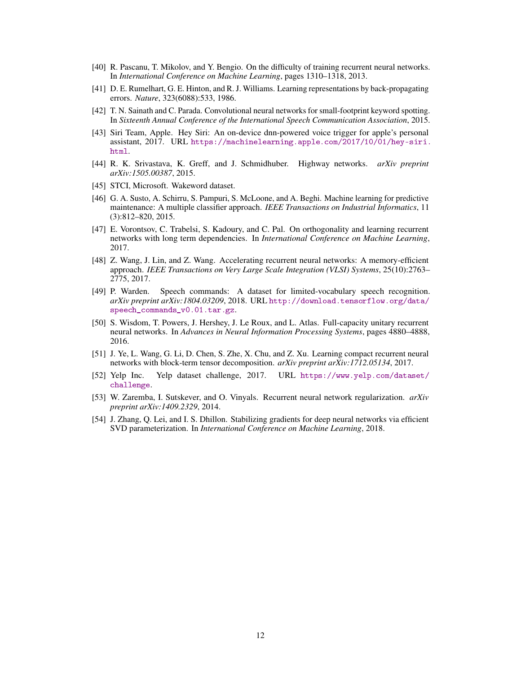- <span id="page-11-3"></span>[40] R. Pascanu, T. Mikolov, and Y. Bengio. On the difficulty of training recurrent neural networks. In *International Conference on Machine Learning*, pages 1310–1318, 2013.
- <span id="page-11-10"></span>[41] D. E. Rumelhart, G. E. Hinton, and R. J. Williams. Learning representations by back-propagating errors. *Nature*, 323(6088):533, 1986.
- <span id="page-11-0"></span>[42] T. N. Sainath and C. Parada. Convolutional neural networks for small-footprint keyword spotting. In *Sixteenth Annual Conference of the International Speech Communication Association*, 2015.
- <span id="page-11-1"></span>[43] Siri Team, Apple. Hey Siri: An on-device dnn-powered voice trigger for apple's personal assistant, 2017. URL [https://machinelearning.apple.com/2017/10/01/hey-siri.](https://machinelearning.apple.com/2017/10/01/hey-siri.html) [html](https://machinelearning.apple.com/2017/10/01/hey-siri.html).
- <span id="page-11-7"></span>[44] R. K. Srivastava, K. Greff, and J. Schmidhuber. Highway networks. *arXiv preprint arXiv:1505.00387*, 2015.
- <span id="page-11-11"></span>[45] STCI, Microsoft. Wakeword dataset.
- <span id="page-11-2"></span>[46] G. A. Susto, A. Schirru, S. Pampuri, S. McLoone, and A. Beghi. Machine learning for predictive maintenance: A multiple classifier approach. *IEEE Transactions on Industrial Informatics*, 11 (3):812–820, 2015.
- <span id="page-11-4"></span>[47] E. Vorontsov, C. Trabelsi, S. Kadoury, and C. Pal. On orthogonality and learning recurrent networks with long term dependencies. In *International Conference on Machine Learning*, 2017.
- <span id="page-11-9"></span>[48] Z. Wang, J. Lin, and Z. Wang. Accelerating recurrent neural networks: A memory-efficient approach. *IEEE Transactions on Very Large Scale Integration (VLSI) Systems*, 25(10):2763– 2775, 2017.
- <span id="page-11-12"></span>[49] P. Warden. Speech commands: A dataset for limited-vocabulary speech recognition. *arXiv preprint arXiv:1804.03209*, 2018. URL [http://download.tensorflow.org/data/](http://download.tensorflow.org/data/speech_commands_v0.01.tar.gz) [speech\\_commands\\_v0.01.tar.gz](http://download.tensorflow.org/data/speech_commands_v0.01.tar.gz).
- <span id="page-11-5"></span>[50] S. Wisdom, T. Powers, J. Hershey, J. Le Roux, and L. Atlas. Full-capacity unitary recurrent neural networks. In *Advances in Neural Information Processing Systems*, pages 4880–4888, 2016.
- <span id="page-11-8"></span>[51] J. Ye, L. Wang, G. Li, D. Chen, S. Zhe, X. Chu, and Z. Xu. Learning compact recurrent neural networks with block-term tensor decomposition. *arXiv preprint arXiv:1712.05134*, 2017.
- <span id="page-11-13"></span>[52] Yelp Inc. Yelp dataset challenge, 2017. URL [https://www.yelp.com/dataset/](https://www.yelp.com/dataset/challenge) [challenge](https://www.yelp.com/dataset/challenge).
- <span id="page-11-14"></span>[53] W. Zaremba, I. Sutskever, and O. Vinyals. Recurrent neural network regularization. *arXiv preprint arXiv:1409.2329*, 2014.
- <span id="page-11-6"></span>[54] J. Zhang, Q. Lei, and I. S. Dhillon. Stabilizing gradients for deep neural networks via efficient SVD parameterization. In *International Conference on Machine Learning*, 2018.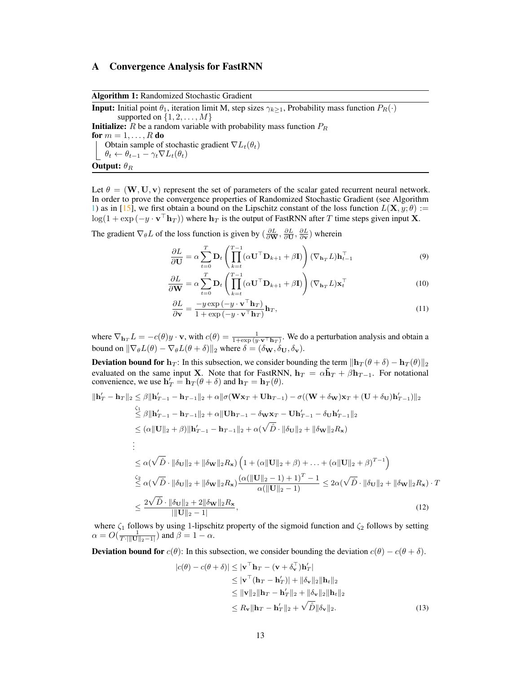## A Convergence Analysis for FastRNN

Algorithm 1: Randomized Stochastic Gradient

**Input:** Initial point  $\theta_1$ , iteration limit M, step sizes  $\gamma_{k>1}$ , Probability mass function  $P_R(\cdot)$ supported on  $\{1, 2, \ldots, M\}$ **Initialize:**  $R$  be a random variable with probability mass function  $P_R$ for  $m = 1, \ldots, R$  do Obtain sample of stochastic gradient  $\nabla L_t(\theta_t)$  $|\theta_t \leftarrow \theta_{t-1} - \gamma_t \nabla L_t(\theta_t)$ **Output:**  $\theta_R$ 

<span id="page-12-0"></span>Let  $\theta = (\mathbf{W}, \mathbf{U}, \mathbf{v})$  represent the set of parameters of the scalar gated recurrent neural network. In order to prove the convergence properties of Randomized Stochastic Gradient (see Algorithm [1\)](#page-12-0) as in [\[15\]](#page-9-12), we first obtain a bound on the Lipschitz constant of the loss function  $L(\mathbf{X}, y; \theta) :=$  $\log(1 + \exp(-y \cdot \mathbf{v}^\top \mathbf{h}_T))$  where  $\mathbf{h}_T$  is the output of FastRNN after  $T$  time steps given input X.

The gradient  $\nabla_{\theta} L$  of the loss function is given by  $(\frac{\partial L}{\partial \mathbf{W}}, \frac{\partial L}{\partial \mathbf{U}}, \frac{\partial L}{\partial \mathbf{v}})$  wherein

$$
\frac{\partial L}{\partial \mathbf{U}} = \alpha \sum_{t=0}^{T} \mathbf{D}_t \left( \prod_{k=t}^{T-1} (\alpha \mathbf{U}^\top \mathbf{D}_{k+1} + \beta \mathbf{I}) \right) (\nabla_{\mathbf{h}_T} L) \mathbf{h}_{t-1}^\top
$$
(9)

$$
\frac{\partial L}{\partial \mathbf{W}} = \alpha \sum_{t=0}^{T} \mathbf{D}_t \left( \prod_{k=t}^{T-1} (\alpha \mathbf{U}^\top \mathbf{D}_{k+1} + \beta \mathbf{I}) \right) (\nabla_{\mathbf{h}_T} L) \mathbf{x}_t^\top
$$
(10)

$$
\frac{\partial L}{\partial \mathbf{v}} = \frac{-y \exp\left(-y \cdot \mathbf{v}^\top \mathbf{h}_T\right)}{1 + \exp\left(-y \cdot \mathbf{v}^\top \mathbf{h}_T\right)} \mathbf{h}_T,\tag{11}
$$

where  $\nabla_{\mathbf{h}_T} L = -c(\theta)y \cdot \mathbf{v}$ , with  $c(\theta) = \frac{1}{1+\exp{(y \cdot \mathbf{v}^\top \mathbf{h}_T)}}$ . We do a perturbation analysis and obtain a bound on  $\|\nabla_{\theta}L(\theta) - \nabla_{\theta}L(\theta + \delta)\|_2$  where  $\delta = (\delta_{\mathbf{W}}, \delta_{\mathbf{U}}, \delta_{\mathbf{v}}).$ 

**Deviation bound for h**<sub>T</sub>: In this subsection, we consider bounding the term  $\|\mathbf{h}_T(\theta + \delta) - \mathbf{h}_T(\theta)\|_2$ evaluated on the same input X. Note that for FastRNN,  $h_T = \alpha \tilde{h}_T + \beta h_{T-1}$ . For notational convenience, we use  $\mathbf{h}'_T = \mathbf{h}_T(\theta + \delta)$  and  $\mathbf{h}_T = \mathbf{h}_T(\theta)$ .

$$
\|\mathbf{h}_{T}^{\prime}-\mathbf{h}_{T}\|_{2} \leq \beta \|\mathbf{h}_{T-1}^{\prime}-\mathbf{h}_{T-1}\|_{2} + \alpha \|\sigma(\mathbf{W}\mathbf{x}_{T} + \mathbf{U}\mathbf{h}_{T-1}) - \sigma((\mathbf{W} + \delta_{\mathbf{W}})\mathbf{x}_{T} + (\mathbf{U} + \delta_{\mathbf{U}})\mathbf{h}_{T-1}^{\prime})\|_{2}
$$
\n
$$
\leq \beta \|\mathbf{h}_{T-1}^{\prime}-\mathbf{h}_{T-1}\|_{2} + \alpha \|\mathbf{U}\mathbf{h}_{T-1} - \delta_{\mathbf{W}}\mathbf{x}_{T} - \mathbf{U}\mathbf{h}_{T-1}^{\prime} - \delta_{\mathbf{U}}\mathbf{h}_{T-1}^{\prime}\|_{2}
$$
\n
$$
\leq (\alpha \|\mathbf{U}\|_{2} + \beta)\|\mathbf{h}_{T-1}^{\prime}-\mathbf{h}_{T-1}\|_{2} + \alpha(\sqrt{\hat{D}} \cdot \|\delta_{\mathbf{U}}\|_{2} + \|\delta_{\mathbf{W}}\|_{2}R_{\mathbf{x}})
$$
\n
$$
\vdots
$$
\n
$$
\leq \alpha(\sqrt{\hat{D}} \cdot \|\delta_{\mathbf{U}}\|_{2} + \|\delta_{\mathbf{W}}\|_{2}R_{\mathbf{x}}) \left(1 + (\alpha \|\mathbf{U}\|_{2} + \beta) + \ldots + (\alpha \|\mathbf{U}\|_{2} + \beta)^{T-1}\right)
$$
\n
$$
\leq \alpha(\sqrt{\hat{D}} \cdot \|\delta_{\mathbf{U}}\|_{2} + \|\delta_{\mathbf{W}}\|_{2}R_{\mathbf{x}}) \frac{(\alpha(\|\mathbf{U}\|_{2} - 1) + 1)^{T} - 1}{\alpha(\|\mathbf{U}\|_{2} - 1)} \leq 2\alpha(\sqrt{\hat{D}} \cdot \|\delta_{\mathbf{U}}\|_{2} + \|\delta_{\mathbf{W}}\|_{2}R_{\mathbf{x}}) \cdot T
$$
\n
$$
\leq \frac{2\sqrt{\hat{D}} \cdot \|\delta_{\mathbf{U}}\|_{2} + 2\|\delta_{\mathbf{W}}\|_{2}R_{\mathbf{x}}}{\|\|\mathbf{U}\|_{2} -
$$

where  $\zeta_1$  follows by using 1-lipschitz property of the sigmoid function and  $\zeta_2$  follows by setting  $\alpha = O(\frac{1}{T \cdot ||\mathbf{U}||_2 - 1})$  and  $\beta = 1 - \alpha$ .

**Deviation bound for**  $c(\theta)$ : In this subsection, we consider bounding the deviation  $c(\theta) - c(\theta + \delta)$ .

<span id="page-12-1"></span>
$$
|c(\theta) - c(\theta + \delta)| \le |\mathbf{v}^{\top}\mathbf{h}_T - (\mathbf{v} + \delta_{\mathbf{v}}^{\top})\mathbf{h}_T'|
$$
  
\n
$$
\le |\mathbf{v}^{\top}(\mathbf{h}_T - \mathbf{h}_T')| + ||\delta_{\mathbf{v}}||_2 ||\mathbf{h}_t||_2
$$
  
\n
$$
\le ||\mathbf{v}||_2 ||\mathbf{h}_T - \mathbf{h}_T'||_2 + ||\delta_{\mathbf{v}}||_2 ||\mathbf{h}_t||_2
$$
  
\n
$$
\le R_{\mathbf{v}} ||\mathbf{h}_T - \mathbf{h}_T'||_2 + \sqrt{\hat{D}} ||\delta_{\mathbf{v}}||_2.
$$
 (13)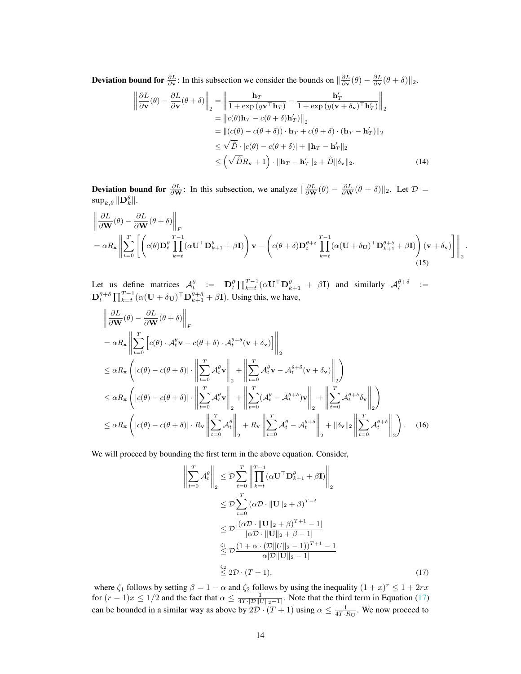**Deviation bound for**  $\frac{\partial L}{\partial y}$ : In this subsection we consider the bounds on  $\|\frac{\partial L}{\partial y}(\theta) - \frac{\partial L}{\partial y}(\theta + \delta)\|_2$ .

$$
\left\| \frac{\partial L}{\partial \mathbf{v}}(\theta) - \frac{\partial L}{\partial \mathbf{v}}(\theta + \delta) \right\|_2 = \left\| \frac{\mathbf{h}_T}{1 + \exp(y\mathbf{v}^\top \mathbf{h}_T)} - \frac{\mathbf{h}_T'}{1 + \exp(y(\mathbf{v} + \delta_{\mathbf{v}})^\top \mathbf{h}_T')} \right\|_2
$$
  
\n
$$
= \left\| c(\theta) \mathbf{h}_T - c(\theta + \delta) \mathbf{h}_T' \right\|_2
$$
  
\n
$$
= \left\| (c(\theta) - c(\theta + \delta)) \cdot \mathbf{h}_T + c(\theta + \delta) \cdot (\mathbf{h}_T - \mathbf{h}_T') \right\|_2
$$
  
\n
$$
\leq \sqrt{\hat{D}} \cdot |c(\theta) - c(\theta + \delta)| + \|\mathbf{h}_T - \mathbf{h}_T'\|_2
$$
  
\n
$$
\leq (\sqrt{\hat{D}} R_{\mathbf{v}} + 1) \cdot \|\mathbf{h}_T - \mathbf{h}_T'\|_2 + \hat{D} \|\delta_{\mathbf{v}}\|_2.
$$
 (14)

**Deviation bound for**  $\frac{\partial L}{\partial \mathbf{W}}$ : In this subsection, we analyze  $\|\frac{\partial L}{\partial \mathbf{W}}(\theta) - \frac{\partial L}{\partial \mathbf{W}}(\theta + \delta)\|_2$ . Let  $\mathcal{D} =$  $\sup_{k,\theta} \|\mathbf{D}^{\theta}_k\|.$ 

$$
\left\| \frac{\partial L}{\partial \mathbf{W}}(\theta) - \frac{\partial L}{\partial \mathbf{W}}(\theta + \delta) \right\|_{F}
$$
  
=  $\alpha R_{\mathbf{x}} \left\| \sum_{t=0}^{T} \left[ \left( c(\theta) \mathbf{D}_{t}^{\theta} \prod_{k=t}^{T-1} (\alpha \mathbf{U}^{\top} \mathbf{D}_{k+1}^{\theta} + \beta \mathbf{I}) \right) \mathbf{v} - \left( c(\theta + \delta) \mathbf{D}_{t}^{\theta + \delta} \prod_{k=t}^{T-1} (\alpha (\mathbf{U} + \delta_{\mathbf{U}})^{\top} \mathbf{D}_{k+1}^{\theta + \delta} + \beta \mathbf{I}) \right) (\mathbf{v} + \delta_{\mathbf{v}}) \right\|_{2} (15)$ 

<span id="page-13-1"></span>.

Let us define matrices  $\mathcal{A}_t^{\theta} := \mathbf{D}_t^{\theta} \prod_{k=t}^{T-1} (\alpha \mathbf{U}^{\top} \mathbf{D}_{k+1}^{\theta} + \beta \mathbf{I})$  and similarly  $\mathcal{A}_t^{\theta+\delta} :=$  $\mathbf{D}_t^{\theta+\delta} \prod_{k=t}^{T-1} (\alpha(\mathbf{U} + \delta_{\mathbf{U}})^{\top} \mathbf{D}_{k+1}^{\theta+\delta} + \beta \mathbf{I}).$  Using this, we have,

$$
\begin{split}\n&\left\|\frac{\partial L}{\partial \mathbf{W}}(\theta) - \frac{\partial L}{\partial \mathbf{W}}(\theta + \delta)\right\|_{F} \\
&= \alpha R_{\mathbf{x}} \left\|\sum_{t=0}^{T} \left[c(\theta) \cdot \mathcal{A}_{t}^{\theta} \mathbf{v} - c(\theta + \delta) \cdot \mathcal{A}_{t}^{\theta + \delta}(\mathbf{v} + \delta_{\mathbf{v}})\right]\right\|_{2} \\
&\leq \alpha R_{\mathbf{x}} \left(\left|c(\theta) - c(\theta + \delta)\right| \cdot \left\|\sum_{t=0}^{T} \mathcal{A}_{t}^{\theta} \mathbf{v}\right\|_{2} + \left\|\sum_{t=0}^{T} \mathcal{A}_{t}^{\theta} \mathbf{v} - \mathcal{A}_{t}^{\theta + \delta}(\mathbf{v} + \delta_{\mathbf{v}})\right\|_{2}\right) \\
&\leq \alpha R_{\mathbf{x}} \left(\left|c(\theta) - c(\theta + \delta)\right| \cdot \left\|\sum_{t=0}^{T} \mathcal{A}_{t}^{\theta} \mathbf{v}\right\|_{2} + \left\|\sum_{t=0}^{T} (\mathcal{A}_{t}^{\theta} - \mathcal{A}_{t}^{\theta + \delta})\mathbf{v}\right\|_{2} + \left\|\sum_{t=0}^{T} \mathcal{A}_{t}^{\theta + \delta} \delta_{\mathbf{v}}\right\|_{2}\right) \\
&\leq \alpha R_{\mathbf{x}} \left(\left|c(\theta) - c(\theta + \delta)\right| \cdot R_{\mathbf{v}} \left\|\sum_{t=0}^{T} \mathcal{A}_{t}^{\theta}\right\|_{2} + R_{\mathbf{v}} \left\|\sum_{t=0}^{T} \mathcal{A}_{t}^{\theta} - \mathcal{A}_{t}^{\theta + \delta}\right\|_{2} + \left\|\delta_{\mathbf{v}}\right\|_{2} \left\|\sum_{t=0}^{T} \mathcal{A}_{t}^{\theta + \delta}\right\|_{2}\right). \end{split} \tag{16}
$$

We will proceed by bounding the first term in the above equation. Consider,

 $\begin{array}{c} \hline \end{array}$ 

<span id="page-13-0"></span>
$$
\sum_{t=0}^{T} \mathcal{A}_t^{\theta} \Bigg\|_2 \leq \mathcal{D} \sum_{t=0}^{T} \Bigg\| \prod_{k=t}^{T-1} (\alpha \mathbf{U}^\top \mathbf{D}_{k+1}^{\theta} + \beta \mathbf{I}) \Bigg\|_2
$$
\n
$$
\leq \mathcal{D} \sum_{t=0}^{T} (\alpha \mathcal{D} \cdot \|\mathbf{U}\|_2 + \beta)^{T-t}
$$
\n
$$
\leq \mathcal{D} \frac{|(\alpha \mathcal{D} \cdot \|\mathbf{U}\|_2 + \beta)^{T+1} - 1|}{|\alpha \mathcal{D} \cdot \|\mathbf{U}\|_2 + \beta - 1|}
$$
\n
$$
\leq \mathcal{D} \frac{(1 + \alpha \cdot (\mathcal{D} \|\mathbf{U}\|_2 - 1))^{T+1} - 1}{\alpha |\mathcal{D} \|\mathbf{U}\|_2 - 1}
$$
\n
$$
\leq 2 \mathcal{D} \cdot (T+1), \tag{17}
$$

where  $\zeta_1$  follows by setting  $\beta = 1 - \alpha$  and  $\zeta_2$  follows by using the inequality  $(1 + x)^r \le 1 + 2rx$ for  $(r-1)x \leq 1/2$  and the fact that  $\alpha \leq \frac{1}{4T \cdot |\mathcal{D}||U||_2 - 1|}$ . Note that the third term in Equation [\(17\)](#page-13-0) can be bounded in a similar way as above by  $2\mathcal{D} \cdot (T+1)$  using  $\alpha \le \frac{1}{4T \cdot R_{\text{U}}}$ . We now proceed to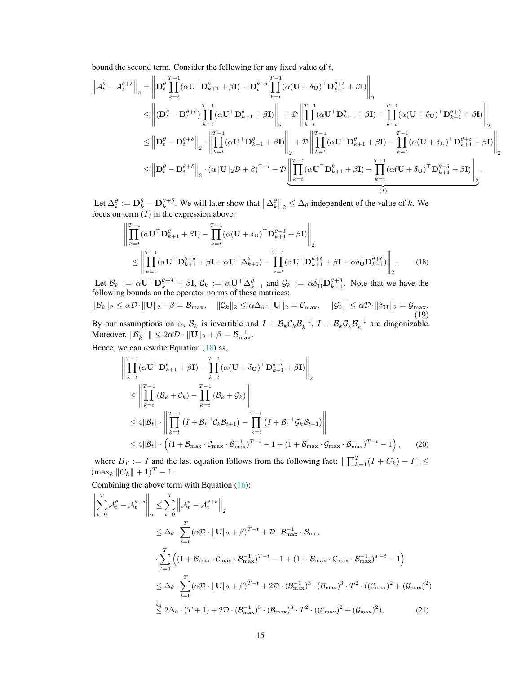bound the second term. Consider the following for any fixed value of t,

$$
\left\| \mathcal{A}_t^{\theta} - \mathcal{A}_t^{\theta+\delta} \right\|_2 = \left\| \mathbf{D}_t^{\theta} \prod_{k=t}^{T-1} (\alpha \mathbf{U}^\top \mathbf{D}_{k+1}^{\theta} + \beta \mathbf{I}) - \mathbf{D}_t^{\theta+\delta} \prod_{k=t}^{T-1} (\alpha (\mathbf{U} + \delta_{\mathbf{U}})^\top \mathbf{D}_{k+1}^{\theta+\delta} + \beta \mathbf{I}) \right\|_2
$$
  
\n
$$
\leq \left\| (\mathbf{D}_t^{\theta} - \mathbf{D}_t^{\theta+\delta}) \prod_{k=t}^{T-1} (\alpha \mathbf{U}^\top \mathbf{D}_{k+1}^{\theta} + \beta \mathbf{I}) \right\|_2 + \mathcal{D} \left\| \prod_{k=t}^{T-1} (\alpha \mathbf{U}^\top \mathbf{D}_{k+1}^{\theta} + \beta \mathbf{I}) - \prod_{k=t}^{T-1} (\alpha (\mathbf{U} + \delta_{\mathbf{U}})^\top \mathbf{D}_{k+1}^{\theta+\delta} + \beta \mathbf{I}) \right\|_2
$$
  
\n
$$
\leq \left\| \mathbf{D}_t^{\theta} - \mathbf{D}_t^{\theta+\delta} \right\|_2 \cdot \left\| \prod_{k=t}^{T-1} (\alpha \mathbf{U}^\top \mathbf{D}_{k+1}^{\theta} + \beta \mathbf{I}) \right\|_2 + \mathcal{D} \left\| \prod_{k=t}^{T-1} (\alpha \mathbf{U}^\top \mathbf{D}_{k+1}^{\theta} + \beta \mathbf{I}) - \prod_{k=t}^{T-1} (\alpha (\mathbf{U} + \delta_{\mathbf{U}})^\top \mathbf{D}_{k+1}^{\theta+\delta} + \beta \mathbf{I}) \right\|_2
$$
  
\n
$$
\leq \left\| \mathbf{D}_t^{\theta} - \mathbf{D}_t^{\theta+\delta} \right\|_2 \cdot (\alpha \| \mathbf{U} \|_2 \mathcal{D} + \beta)^{T-t} + \mathcal{D} \left\| \prod_{k=t}^{T-1} (\alpha \mathbf{U}^\top \mathbf{D}_{k+1}^{\theta} + \beta \mathbf{I}) - \prod_{k=t}^{T-1} (\alpha (\mathbf{U}
$$

Let  $\Delta_k^{\theta} := \mathbf{D}_k^{\theta} - \mathbf{D}_k^{\theta+\delta}$ . We will later show that  $\left\| \Delta_k^{\theta} \right\|_2 \leq \Delta_{\theta}$  independent of the value of k. We focus on term  $(I)$  in the expression above:

<span id="page-14-0"></span>
$$
\left\| \prod_{k=t}^{T-1} (\alpha \mathbf{U}^\top \mathbf{D}_{k+1}^\theta + \beta \mathbf{I}) - \prod_{k=t}^{T-1} (\alpha (\mathbf{U} + \delta \mathbf{U})^\top \mathbf{D}_{k+1}^{\theta + \delta} + \beta \mathbf{I}) \right\|_2
$$
\n
$$
\leq \left\| \prod_{k=t}^{T-1} (\alpha \mathbf{U}^\top \mathbf{D}_{k+1}^{\theta + \delta} + \beta \mathbf{I} + \alpha \mathbf{U}^\top \Delta_{k+1}^\theta) - \prod_{k=t}^{T-1} (\alpha \mathbf{U}^\top \mathbf{D}_{k+1}^{\theta + \delta} + \beta \mathbf{I} + \alpha \delta \mathbf{U}^\top \mathbf{D}_{k+1}^{\theta + \delta}) \right\|_2.
$$
\n(18)

Let  $\mathcal{B}_k := \alpha \mathbf{U}^\top \mathbf{D}_k^{\theta+\delta} + \beta \mathbf{I}$ ,  $\mathcal{C}_k := \alpha \mathbf{U}^\top \Delta_{k+1}^{\theta}$  and  $\mathcal{G}_k := \alpha \delta_{\mathbf{U}}^\top \mathbf{D}_{k+1}^{\theta+\delta}$ . Note that we have the following bounds on the operator norms of these matrices:

 $\|\mathcal{B}_k\|_2 \leq \alpha \mathcal{D} \cdot \|\mathbf{U}\|_2 + \beta = \mathcal{B}_{\text{max}}, \quad \|\mathcal{C}_k\|_2 \leq \alpha \Delta_\theta \cdot \|\mathbf{U}\|_2 = \mathcal{C}_{\text{max}}, \quad \|\mathcal{G}_k\| \leq \alpha \mathcal{D} \cdot \|\delta_{\mathbf{U}}\|_2 = \mathcal{G}_{\text{max}}.$ (19) By our assumptions on  $\alpha$ ,  $\mathcal{B}_k$  is invertible and  $I + \mathcal{B}_k C_k \mathcal{B}_k^{-1}$ ,  $I + \mathcal{B}_k \mathcal{G}_k \mathcal{B}_k^{-1}$  are diagonizable.

Moreover,  $||\mathcal{B}_k^{-1}|| \leq 2\alpha \mathcal{D} \cdot ||\mathbf{U}||_2 + \beta = \mathcal{B}_{\max}^{-1}$ .

Hence, we can rewrite Equation 
$$
(18)
$$
 as,

$$
\begin{split}\n\left\| \prod_{k=t}^{T-1} (\alpha \mathbf{U}^{\top} \mathbf{D}_{k+1}^{\theta} + \beta \mathbf{I}) - \prod_{k=t}^{T-1} (\alpha (\mathbf{U} + \delta_{\mathbf{U}})^{\top} \mathbf{D}_{k+1}^{\theta + \delta} + \beta \mathbf{I}) \right\|_{2} \\
&\leq \left\| \prod_{k=t}^{T-1} (\mathcal{B}_{k} + \mathcal{C}_{k}) - \prod_{k=t}^{T-1} (\mathcal{B}_{k} + \mathcal{G}_{k}) \right\| \\
&\leq 4 \|\mathcal{B}_{t}\| \cdot \left\| \prod_{k=t}^{T-1} (I + \mathcal{B}_{t}^{-1} \mathcal{C}_{k} \mathcal{B}_{t+1}) - \prod_{k=t}^{T-1} (I + \mathcal{B}_{t}^{-1} \mathcal{G}_{k} \mathcal{B}_{t+1}) \right\| \\
&\leq 4 \|\mathcal{B}_{t}\| \cdot \left( (1 + \mathcal{B}_{\max} \cdot \mathcal{C}_{\max} \cdot \mathcal{B}_{\max}^{-1})^{T-t} - 1 + (1 + \mathcal{B}_{\max} \cdot \mathcal{G}_{\max} \cdot \mathcal{B}_{\max}^{-1})^{T-t} - 1 \right),\n\end{split} \tag{20}
$$

where  $B_T := I$  and the last equation follows from the following fact:  $\|\prod_{k=1}^T (I + C_k) - I\|$  $(\max_k ||C_k|| + 1)^T - 1.$ 

Combining the above term with Equation [\(16\)](#page-13-1):

<span id="page-14-1"></span>
$$
\left\| \sum_{t=0}^{T} \mathcal{A}_{t}^{\theta} - \mathcal{A}_{t}^{\theta + \delta} \right\|_{2} \leq \sum_{t=0}^{T} \left\| \mathcal{A}_{t}^{\theta} - \mathcal{A}_{t}^{\theta + \delta} \right\|_{2}
$$
\n
$$
\leq \Delta_{\theta} \cdot \sum_{t=0}^{T} (\alpha \mathcal{D} \cdot ||\mathbf{U}||_{2} + \beta)^{T-t} + \mathcal{D} \cdot \mathcal{B}_{\max}^{-1} \cdot \mathcal{B}_{\max}
$$
\n
$$
\cdot \sum_{t=0}^{T} \left( (1 + \mathcal{B}_{\max} \cdot \mathcal{C}_{\max} \cdot \mathcal{B}_{\max}^{-1})^{T-t} - 1 + (1 + \mathcal{B}_{\max} \cdot \mathcal{G}_{\max} \cdot \mathcal{B}_{\max}^{-1})^{T-t} - 1 \right)
$$
\n
$$
\leq \Delta_{\theta} \cdot \sum_{t=0}^{T} (\alpha \mathcal{D} \cdot ||\mathbf{U}||_{2} + \beta)^{T-t} + 2\mathcal{D} \cdot (\mathcal{B}_{\max}^{-1})^{3} \cdot (\mathcal{B}_{\max})^{3} \cdot T^{2} \cdot ((\mathcal{C}_{\max})^{2} + (\mathcal{G}_{\max})^{2})
$$
\n
$$
\leq 2\Delta_{\theta} \cdot (T+1) + 2\mathcal{D} \cdot (\mathcal{B}_{\max}^{-1})^{3} \cdot (\mathcal{B}_{\max})^{3} \cdot T^{2} \cdot ((\mathcal{C}_{\max})^{2} + (\mathcal{G}_{\max})^{2}), \tag{21}
$$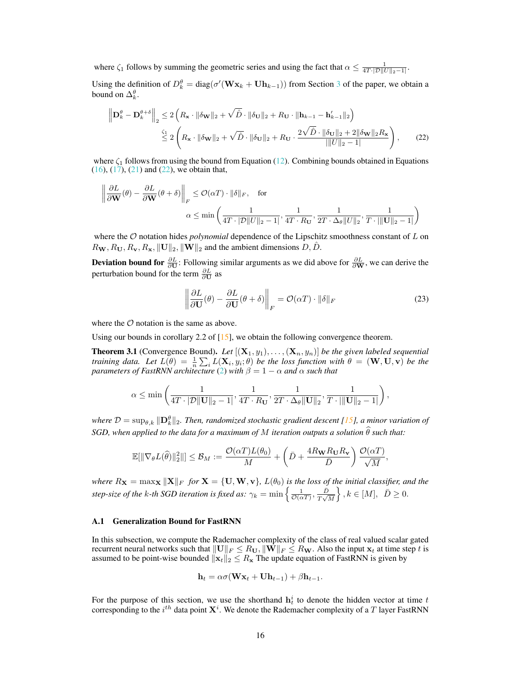where  $\zeta_1$  follows by summing the geometric series and using the fact that  $\alpha \leq \frac{1}{4T \cdot |\mathcal{D}||U||_2 - 1|}$ .

Using the definition of  $D_k^{\theta} = \text{diag}(\sigma'(\mathbf{W}\mathbf{x}_k + \mathbf{U}\mathbf{h}_{k-1}))$  from Section [3](#page-2-0) of the paper, we obtain a bound on  $\Delta_k^{\theta}$ .

$$
\left\| \mathbf{D}_{k}^{\theta} - \mathbf{D}_{k}^{\theta + \delta} \right\|_{2} \leq 2 \left( R_{\mathbf{x}} \cdot \|\delta \mathbf{w}\|_{2} + \sqrt{\hat{D}} \cdot \|\delta \mathbf{u}\|_{2} + R_{\mathbf{U}} \cdot \|\mathbf{h}_{k-1} - \mathbf{h}_{k-1}'\|_{2} \right)
$$
  

$$
\stackrel{\zeta_{1}}{\leq} 2 \left( R_{\mathbf{x}} \cdot \|\delta \mathbf{w}\|_{2} + \sqrt{\hat{D}} \cdot \|\delta \mathbf{u}\|_{2} + R_{\mathbf{U}} \cdot \frac{2\sqrt{\hat{D}} \cdot \|\delta \mathbf{u}\|_{2} + 2\|\delta \mathbf{w}\|_{2} R_{\mathbf{x}}}{\|\|U\|_{2} - 1|} \right), \tag{22}
$$

where  $\zeta_1$  follows from using the bound from Equation [\(12\)](#page-12-1). Combining bounds obtained in Equations  $(16)$ ,  $(17)$ ,  $(21)$  and  $(22)$ , we obtain that,

$$
\left\| \frac{\partial L}{\partial \mathbf{W}}(\theta) - \frac{\partial L}{\partial \mathbf{W}}(\theta + \delta) \right\|_{F} \le \mathcal{O}(\alpha T) \cdot \|\delta\|_{F}, \quad \text{for}
$$

$$
\alpha \le \min \left( \frac{1}{4T \cdot |\mathcal{D}||U||_2 - 1}, \frac{1}{4T \cdot R_{\mathbf{U}}}, \frac{1}{2T \cdot \Delta_{\theta} ||U||_2}, \frac{1}{T \cdot ||\mathbf{U}||_2 - 1} \right)
$$

where the O notation hides *polynomial* dependence of the Lipschitz smoothness constant of L on  $R_{\mathbf{W}}, R_{\mathbf{U}}, R_{\mathbf{v}}, R_{\mathbf{x}}, ||\mathbf{U}||_2, ||\mathbf{W}||_2$  and the ambient dimensions  $D, \hat{D}$ .

**Deviation bound for**  $\frac{\partial L}{\partial \mathbf{U}}$ : Following similar arguments as we did above for  $\frac{\partial L}{\partial \mathbf{W}}$ , we can derive the perturbation bound for the term  $\frac{\partial L}{\partial \mathbf{U}}$  as

<span id="page-15-0"></span>
$$
\left\| \frac{\partial L}{\partial \mathbf{U}}(\theta) - \frac{\partial L}{\partial \mathbf{U}}(\theta + \delta) \right\|_F = \mathcal{O}(\alpha T) \cdot \|\delta\|_F \tag{23}
$$

where the  $\mathcal O$  notation is the same as above.

Using our bounds in corollary 2.2 of  $[15]$ , we obtain the following convergence theorem.

**Theorem 3.1** (Convergence Bound). Let  $[(\mathbf{X}_1, y_1), \ldots, (\mathbf{X}_n, y_n)]$  be the given labeled sequential *training data. Let*  $L(\theta) = \frac{1}{n} \sum_i L(\mathbf{X}_i, y_i; \theta)$  *be the loss function with*  $\theta = (\mathbf{W}, \mathbf{U}, \mathbf{v})$  *be the parameters of FastRNN architecture* [\(2\)](#page-3-0) *with* β = 1 − α *and* α *such that*

$$
\alpha\leq\min\left(\frac{1}{4T\cdot|\mathcal{D}\|\mathbf{U}\|_2-1|},\frac{1}{4T\cdot R_{\mathbf{U}}},\frac{1}{2T\cdot\Delta_\theta\|\mathbf{U}\|_2},\frac{1}{T\cdot|\|\mathbf{U}\|_2-1|}\right),
$$

where  $\mathcal{D} = \sup_{\theta,k} \|\mathbf{D}_k^{\theta}\|_2$ . Then, randomized stochastic gradient descent [\[15\]](#page-9-12), a minor variation of *SGD, when applied to the data for a maximum of M iteration outputs a solution*  $\hat{\theta}$  *such that:* 

$$
\mathbb{E}[\|\nabla_{\theta} L(\widehat{\theta})\|_2^2\|] \leq \mathcal{B}_M := \frac{\mathcal{O}(\alpha T) L(\theta_0)}{M} + \left(\bar{D} + \frac{4R_{\mathbf{W}}R_{\mathbf{U}}R_{\mathbf{v}}}{\bar{D}}\right)\frac{\mathcal{O}(\alpha T)}{\sqrt{M}},
$$

*where*  $R_X = \max_X ||X||_F$  *for*  $X = \{U, W, v\}$ *,*  $L(\theta_0)$  *is the loss of the initial classifier, and the* step-size of the k-th SGD iteration is fixed as:  $\gamma_k = \min \left\{ \frac{1}{\mathcal{O}(\alpha T)}, \frac{\bar{D}}{T \sqrt{N}} \right\}$  $\left\{\frac{\bar{D}}{T\sqrt{M}}\right\}, k \in [M], \ \ \bar{D} \geq 0.$ 

#### A.1 Generalization Bound for FastRNN

In this subsection, we compute the Rademacher complexity of the class of real valued scalar gated recurrent neural networks such that  $||\mathbf{U}||_F \le R_{\mathbf{U}}$ ,  $||\mathbf{W}||_F \le R_{\mathbf{W}}$ . Also the input  $\mathbf{x}_t$  at time step t is assumed to be point-wise bounded  $\|\mathbf{x}_t\|_2 \leq R_\mathbf{x}$  The update equation of FastRNN is given by

$$
\mathbf{h}_t = \alpha \sigma(\mathbf{W} \mathbf{x}_t + \mathbf{U} \mathbf{h}_{t-1}) + \beta \mathbf{h}_{t-1}.
$$

For the purpose of this section, we use the shorthand  $h_t^i$  to denote the hidden vector at time t corresponding to the  $i^{th}$  data point  $\mathbf{X}^i$ . We denote the Rademacher complexity of a  $T$  layer FastRNN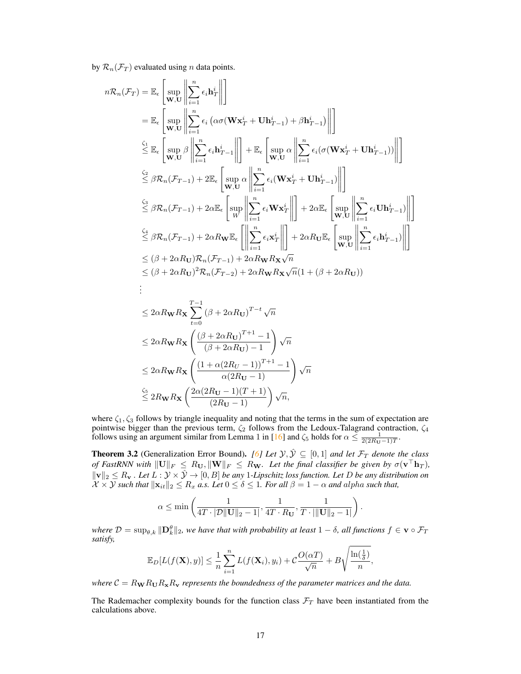by  $\mathcal{R}_n(\mathcal{F}_T)$  evaluated using *n* data points.

$$
n\mathcal{R}_n(\mathcal{F}_T) = \mathbb{E}_{\epsilon} \left[ \sup_{\mathbf{W},\mathbf{U}} \left\| \sum_{i=1}^n \epsilon_i \mathbf{h}_T^i \right\| \right]
$$
  
\n
$$
= \mathbb{E}_{\epsilon} \left[ \sup_{\mathbf{W},\mathbf{U}} \left\| \sum_{i=1}^n \epsilon_i (\alpha \sigma (\mathbf{W} \mathbf{x}_T^i + \mathbf{U} \mathbf{h}_{T-1}^i) + \beta \mathbf{h}_{T-1}^i) \right\| \right]
$$
  
\n
$$
\leq \mathbb{E}_{\epsilon} \left[ \sup_{\mathbf{W},\mathbf{U}} \beta \left\| \sum_{i=1}^n \epsilon_i \mathbf{h}_{T-1}^i \right\| \right] + \mathbb{E}_{\epsilon} \left[ \sup_{\mathbf{W},\mathbf{U}} \alpha \left\| \sum_{i=1}^n \epsilon_i (\sigma (\mathbf{W} \mathbf{x}_T^i + \mathbf{U} \mathbf{h}_{T-1}^i)) \right\| \right]
$$
  
\n
$$
\leq \beta \mathcal{R}_n(\mathcal{F}_{T-1}) + 2 \mathbb{E}_{\epsilon} \left[ \sup_{\mathbf{W},\mathbf{U}} \left\| \sum_{i=1}^n \epsilon_i (\mathbf{W} \mathbf{x}_T^i + \mathbf{U} \mathbf{h}_{T-1}^i) \right\| \right]
$$
  
\n
$$
\leq \beta \mathcal{R}_n(\mathcal{F}_{T-1}) + 2 \alpha \mathbb{E}_{\epsilon} \left[ \sup_{\mathbf{W}} \left\| \sum_{i=1}^n \epsilon_i \mathbf{W} \mathbf{x}_T^i \right\| \right] + 2 \alpha \mathbb{E}_{\epsilon} \left[ \sup_{\mathbf{W},\mathbf{U}} \left\| \sum_{i=1}^n \epsilon_i \mathbf{U} \mathbf{h}_{T-1}^i \right\| \right]
$$
  
\n
$$
\leq (\beta + 2 \alpha R_\mathbf{U}) \mathcal{R}_n(\mathcal{F}_{T-1}) + 2 \alpha R_\mathbf{W} R_\mathbf{X} \sqrt{n}
$$
  
\n
$$
\leq (\beta + 2 \alpha R_\mathbf{U})^2 \mathcal{R}_n(\mathcal{F}_{T-2}) +
$$

where  $\zeta_1, \zeta_3$  follows by triangle inequality and noting that the terms in the sum of expectation are pointwise bigger than the previous term,  $\zeta_2$  follows from the Ledoux-Talagrand contraction,  $\zeta_4$ follows using an argument similar from Lemma 1 in [\[16\]](#page-9-15) and  $\zeta_5$  holds for  $\alpha \le \frac{1}{2(2R_{\rm U}-1)T}$ .

**Theorem 3.2** (Generalization Error Bound). *[\[6\]](#page-9-13) Let*  $\mathcal{Y}, \hat{\mathcal{Y}} \subseteq [0, 1]$  *and let*  $\mathcal{F}_T$  *denote the class of FastRNN with*  $||U||_F \le R_U, ||W||_F \le R_W$ . Let the final classifier be given by  $\sigma(\mathbf{v}^\top \mathbf{h}_T)$ ,  $\|\mathbf{v}\|_2 \leq R_\mathbf{v}$  *. Let*  $L : \mathcal{Y} \times \hat{\mathcal{Y}} \to [0, B]$  *be any* 1*-Lipschitz loss function. Let* D *be any distribution on*  $\mathcal{X} \times \mathcal{Y}$  such that  $\|\mathbf{x}_{it}\|_2 \leq R_x$  a.s. Let  $0 \leq \delta \leq 1$ . For all  $\beta = 1 - \alpha$  and alpha such that,

$$
\alpha \le \min\left(\frac{1}{4T \cdot |\mathcal{D}||\mathbf{U}||_2 - 1}, \frac{1}{4T \cdot R_{\mathbf{U}}}, \frac{1}{T \cdot |||\mathbf{U}||_2 - 1|}\right).
$$

 $where D = \sup_{\theta,k} \|\mathbf{D}^{\theta}_k\|_2$ , we have that with probability at least  $1-\delta$ , all functions  $f \in \mathbf{v} \circ \mathcal{F}_T$ *satisfy,*

$$
\mathbb{E}_D[L(f(\mathbf{X}),y)] \leq \frac{1}{n} \sum_{i=1}^n L(f(\mathbf{X}_i),y_i) + C \frac{O(\alpha T)}{\sqrt{n}} + B \sqrt{\frac{\ln(\frac{1}{\delta})}{n}},
$$

*where*  $C = R_{\bf W} R_{\bf U} R_{\bf x} R_{\bf v}$  *represents the boundedness of the parameter matrices and the data.* 

The Rademacher complexity bounds for the function class  $\mathcal{F}_T$  have been instantiated from the calculations above.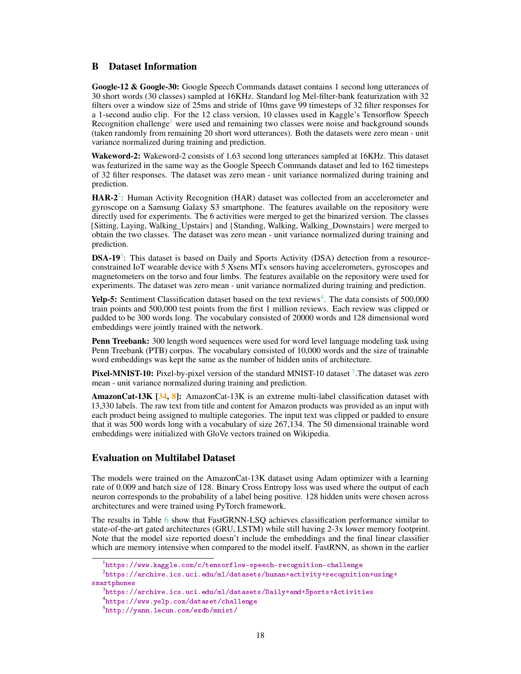# <span id="page-17-0"></span>B Dataset Information

Google-12 & Google-30: Google Speech Commands dataset contains 1 second long utterances of 30 short words (30 classes) sampled at 16KHz. Standard log Mel-filter-bank featurization with 32 filters over a window size of 25ms and stride of 10ms gave 99 timesteps of 32 filter responses for a 1-second audio clip. For the 12 class version, 10 classes used in Kaggle's Tensorflow Speech Recognition challenge<sup>[1](#page-17-1)</sup> were used and remaining two classes were noise and background sounds (taken randomly from remaining 20 short word utterances). Both the datasets were zero mean - unit variance normalized during training and prediction.

Wakeword-2: Wakeword-2 consists of 1.63 second long utterances sampled at 16KHz. This dataset was featurized in the same way as the Google Speech Commands dataset and led to 162 timesteps of 32 filter responses. The dataset was zero mean - unit variance normalized during training and prediction.

HAR-[2](#page-17-2)<sup>2</sup>: Human Activity Recognition (HAR) dataset was collected from an accelerometer and gyroscope on a Samsung Galaxy S3 smartphone. The features available on the repository were directly used for experiments. The 6 activities were merged to get the binarized version. The classes {Sitting, Laying, Walking\_Upstairs} and {Standing, Walking, Walking\_Downstairs} were merged to obtain the two classes. The dataset was zero mean - unit variance normalized during training and prediction.

 $DSA-19<sup>3</sup>$  $DSA-19<sup>3</sup>$  $DSA-19<sup>3</sup>$ : This dataset is based on Daily and Sports Activity (DSA) detection from a resourceconstrained IoT wearable device with 5 Xsens MTx sensors having accelerometers, gyroscopes and magnetometers on the torso and four limbs. The features available on the repository were used for experiments. The dataset was zero mean - unit variance normalized during training and prediction.

Yelp-5: Sentiment Classification dataset based on the text reviews<sup>[4](#page-17-4)</sup>. The data consists of 500,000 train points and 500,000 test points from the first 1 million reviews. Each review was clipped or padded to be 300 words long. The vocabulary consisted of 20000 words and 128 dimensional word embeddings were jointly trained with the network.

**Penn Treebank:** 300 length word sequences were used for word level language modeling task using Penn Treebank (PTB) corpus. The vocabulary consisted of 10,000 words and the size of trainable word embeddings was kept the same as the number of hidden units of architecture.

Pixel-MNIST-10: Pixel-by-pixel version of the standard MNIST-10 dataset <sup>[5](#page-17-5)</sup>. The dataset was zero mean - unit variance normalized during training and prediction.

AmazonCat-13K [\[34,](#page-10-18) [8\]](#page-9-16): AmazonCat-13K is an extreme multi-label classification dataset with 13,330 labels. The raw text from title and content for Amazon products was provided as an input with each product being assigned to multiple categories. The input text was clipped or padded to ensure that it was 500 words long with a vocabulary of size 267,134. The 50 dimensional trainable word embeddings were initialized with GloVe vectors trained on Wikipedia.

# Evaluation on Multilabel Dataset

The models were trained on the AmazonCat-13K dataset using Adam optimizer with a learning rate of 0.009 and batch size of 128. Binary Cross Entropy loss was used where the output of each neuron corresponds to the probability of a label being positive. 128 hidden units were chosen across architectures and were trained using PyTorch framework.

The results in Table [6](#page-18-2) show that FastGRNN-LSQ achieves classification performance similar to state-of-the-art gated architectures (GRU, LSTM) while still having 2-3x lower memory footprint. Note that the model size reported doesn't include the embeddings and the final linear classifier which are memory intensive when compared to the model itself. FastRNN, as shown in the earlier

<span id="page-17-2"></span><span id="page-17-1"></span><sup>1</sup> <https://www.kaggle.com/c/tensorflow-speech-recognition-challenge>

 $^2$ [https://archive.ics.uci.edu/ml/datasets/human+activity+recognition+using+](https://archive.ics.uci.edu/ml/datasets/human+activity+recognition+using+smartphones) [smartphones](https://archive.ics.uci.edu/ml/datasets/human+activity+recognition+using+smartphones)

<span id="page-17-3"></span> $^3$ <https://archive.ics.uci.edu/ml/datasets/Daily+and+Sports+Activities>

<span id="page-17-4"></span><sup>4</sup> <https://www.yelp.com/dataset/challenge>

<span id="page-17-5"></span><sup>5</sup> <http://yann.lecun.com/exdb/mnist/>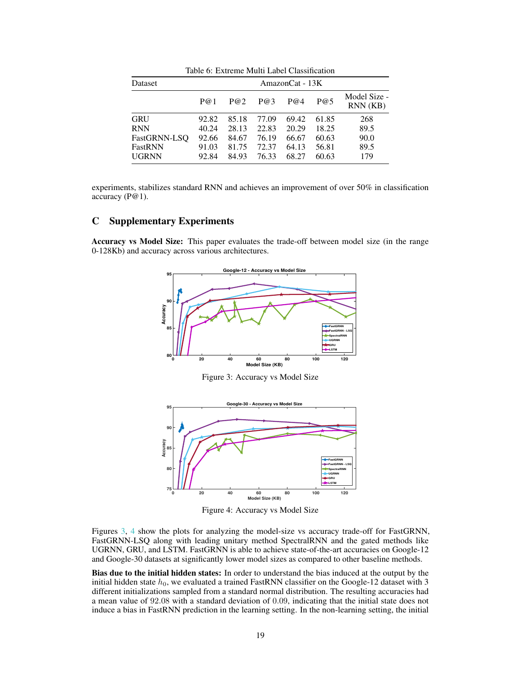<span id="page-18-2"></span>

| Table 6: Extreme Multi Label Classification |       |       |       |       |       |                         |  |  |  |
|---------------------------------------------|-------|-------|-------|-------|-------|-------------------------|--|--|--|
| AmazonCat - 13K<br>Dataset                  |       |       |       |       |       |                         |  |  |  |
|                                             | P@1   | P@2   | P@3   | P@4   | P@5   | Model Size -<br>RNN(KB) |  |  |  |
| <b>GRU</b>                                  | 92.82 | 85.18 | 77.09 | 69.42 | 61.85 | 268                     |  |  |  |
| <b>RNN</b>                                  | 40.24 | 28.13 | 22.83 | 20.29 | 18.25 | 89.5                    |  |  |  |
| FastGRNN-LSO                                | 92.66 | 84.67 | 76.19 | 66.67 | 60.63 | 90.0                    |  |  |  |
| FastRNN                                     | 91.03 | 81.75 | 72.37 | 64.13 | 56.81 | 89.5                    |  |  |  |
| <b>UGRNN</b>                                | 92.84 | 84.93 | 76.33 | 68.27 | 60.63 | 179                     |  |  |  |

experiments, stabilizes standard RNN and achieves an improvement of over 50% in classification accuracy (P@1).

# C Supplementary Experiments

<span id="page-18-0"></span>Accuracy vs Model Size: This paper evaluates the trade-off between model size (in the range 0-128Kb) and accuracy across various architectures.



Figure 3: Accuracy vs Model Size

<span id="page-18-1"></span>

Figure 4: Accuracy vs Model Size

Figures [3,](#page-18-0) [4](#page-18-1) show the plots for analyzing the model-size vs accuracy trade-off for FastGRNN, FastGRNN-LSQ along with leading unitary method SpectralRNN and the gated methods like UGRNN, GRU, and LSTM. FastGRNN is able to achieve state-of-the-art accuracies on Google-12 and Google-30 datasets at significantly lower model sizes as compared to other baseline methods.

Bias due to the initial hidden states: In order to understand the bias induced at the output by the initial hidden state  $h_0$ , we evaluated a trained FastRNN classifier on the Google-12 dataset with 3 different initializations sampled from a standard normal distribution. The resulting accuracies had a mean value of 92.08 with a standard deviation of 0.09, indicating that the initial state does not induce a bias in FastRNN prediction in the learning setting. In the non-learning setting, the initial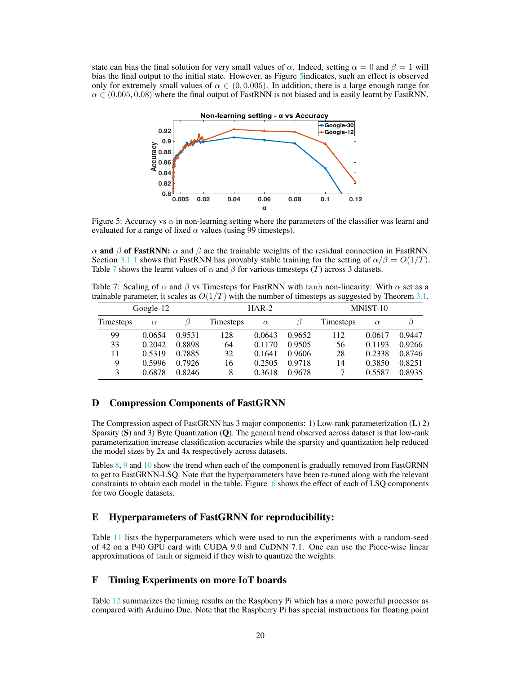<span id="page-19-1"></span>state can bias the final solution for very small values of  $\alpha$ . Indeed, setting  $\alpha = 0$  and  $\beta = 1$  will bias the final output to the initial state. However, as Figure [5i](#page-19-1)ndicates, such an effect is observed only for extremely small values of  $\alpha \in (0, 0.005)$ . In addition, there is a large enough range for  $\alpha \in (0.005, 0.08)$  where the final output of FastRNN is not biased and is easily learnt by FastRNN.



Figure 5: Accuracy vs  $\alpha$  in non-learning setting where the parameters of the classifier was learnt and evaluated for a range of fixed  $\alpha$  values (using 99 timesteps).

 $\alpha$  and  $\beta$  of FastRNN:  $\alpha$  and  $\beta$  are the trainable weights of the residual connection in FastRNN. Section [3.1.1](#page-3-1) shows that FastRNN has provably stable training for the setting of  $\alpha/\beta = O(1/T)$ . Table [7](#page-19-0) shows the learnt values of  $\alpha$  and  $\beta$  for various timesteps (T) across 3 datasets.

<span id="page-19-0"></span>Table 7: Scaling of  $\alpha$  and  $\beta$  vs Timesteps for FastRNN with tanh non-linearity: With  $\alpha$  set as a trainable parameter, it scales as  $O(1/T)$  with the number of timesteps as suggested by Theorem [3.1.](#page-4-0)

|                  | Google- $12$ |        |                  | $HAR-2$  |        | MNIST-10  |          |        |  |
|------------------|--------------|--------|------------------|----------|--------|-----------|----------|--------|--|
| <b>Timesteps</b> | $\alpha$     |        | <b>Timesteps</b> | $\alpha$ | B      | Timesteps | $\alpha$ |        |  |
| 99               | 0.0654       | 0.9531 | 128              | 0.0643   | 0.9652 | 112       | 0.0617   | 0.9447 |  |
| 33               | 0.2042       | 0.8898 | 64               | 0.1170   | 0.9505 | 56        | 0.1193   | 0.9266 |  |
| 11               | 0.5319       | 0.7885 | 32               | 0.1641   | 0.9606 | 28        | 0.2338   | 0.8746 |  |
| 9                | 0.5996       | 0.7926 | 16               | 0.2505   | 0.9718 | 14        | 0.3850   | 0.8251 |  |
| 3                | 0.6878       | 0.8246 | 8                | 0.3618   | 0.9678 |           | 0.5587   | 0.8935 |  |

# D Compression Components of FastGRNN

The Compression aspect of FastGRNN has 3 major components: 1) Low-rank parameterization (L) 2) Sparsity  $(S)$  and 3) Byte Quantization  $(Q)$ . The general trend observed across dataset is that low-rank parameterization increase classification accuracies while the sparsity and quantization help reduced the model sizes by 2x and 4x respectively across datasets.

Tables [8,](#page-20-1) [9](#page-20-1) and [10](#page-20-1) show the trend when each of the component is gradually removed from FastGRNN to get to FastGRNN-LSQ. Note that the hyperparameters have been re-tuned along with the relevant constraints to obtain each model in the table. Figure [6](#page-20-2) shows the effect of each of LSQ components for two Google datasets.

## E Hyperparameters of FastGRNN for reproducibility:

Table [11](#page-21-0) lists the hyperparameters which were used to run the experiments with a random-seed of 42 on a P40 GPU card with CUDA 9.0 and CuDNN 7.1. One can use the Piece-wise linear approximations of tanh or sigmoid if they wish to quantize the weights.

# F Timing Experiments on more IoT boards

Table [12](#page-21-1) summarizes the timing results on the Raspberry Pi which has a more powerful processor as compared with Arduino Due. Note that the Raspberry Pi has special instructions for floating point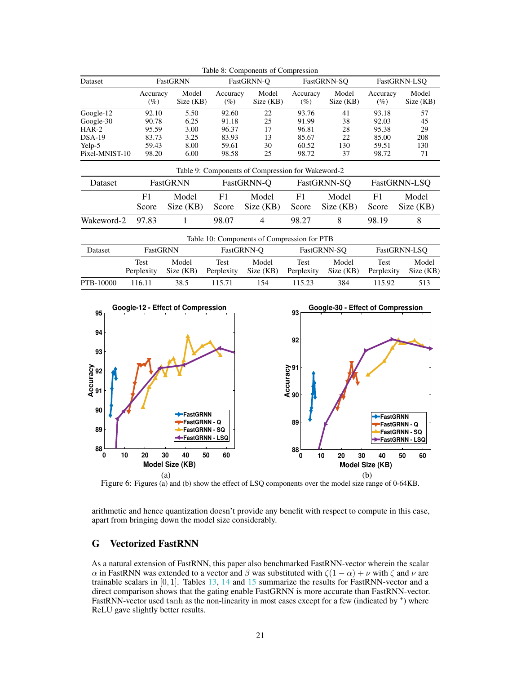<span id="page-20-1"></span>

|                |                 |                    |                 | Table 8: Components of Compression                |                    |                    |                    |                    |  |
|----------------|-----------------|--------------------|-----------------|---------------------------------------------------|--------------------|--------------------|--------------------|--------------------|--|
| Dataset        |                 | <b>FastGRNN</b>    |                 | FastGRNN-O                                        |                    | FastGRNN-SO        |                    | FastGRNN-LSO       |  |
|                | Accuracy<br>(%) | Model<br>Size (KB) | Accuracy<br>(%) | Model<br>Size (KB)                                | Accuracy<br>$(\%)$ | Model<br>Size (KB) | Accuracy<br>$(\%)$ | Model<br>Size (KB) |  |
| Google-12      | 92.10           | 5.50               | 92.60           | 22                                                | 93.76              | 41                 | 93.18              | 57                 |  |
| Google-30      | 90.78           | 6.25               | 91.18           | 25                                                | 91.99              | 38                 | 92.03              | 45                 |  |
| $HAR-2$        | 95.59           | 3.00               | 96.37           | 17                                                | 96.81              | 28                 | 95.38              | 29                 |  |
| $DSA-19$       | 83.73           | 3.25               | 83.93           | 13                                                | 85.67              | 22                 | 85.00              | 208                |  |
| Yelp-5         | 59.43           | 8.00               | 59.61           | 30                                                | 60.52              | 130                | 59.51              | 130                |  |
| Pixel-MNIST-10 | 98.20           | 6.00               | 98.58           | 25                                                | 98.72              | 37                 | 98.72              | 71                 |  |
|                |                 |                    |                 | Table 9: Components of Compression for Wakeword-2 |                    |                    |                    |                    |  |
| Dataset        |                 | FastGRNN           |                 | FastGRNN-Q                                        |                    | FastGRNN-SQ        |                    | FastGRNN-LSQ       |  |
|                | F1              | Model              | F1              | Model                                             | F1                 | Model              | F1                 | Model              |  |
|                | Score           | Size (KB)          | Score           | Size (KB)                                         | Score              | Size (KB)          | Score              | Size (KB)          |  |
| Wakeword-2     | 97.83           |                    | 98.07           | 4                                                 | 98.27              | 8                  | 98.19              | 8                  |  |
|                |                 |                    |                 | Table 10: Components of Compression for PTB       |                    |                    |                    |                    |  |
| Dataset        | FastGRNN        |                    |                 | FastGRNN-O                                        |                    | FastGRNN-SO        |                    | FastGRNN-LSO       |  |
|                | Test            | Model              | Test            | Model                                             | Test               | Model              | Test               | Model              |  |

Perplexity Size (KB) Perplexity Size (KB) Perplexity Size (KB) Perplexity Size (KB) PTB-10000 116.11 38.5 115.71 154 115.23 384 115.92 513 **95 Google-12 - Effect of Compression 93 Google-30 - Effect of Compression**

<span id="page-20-2"></span>

Figure 6: Figures (a) and (b) show the effect of LSQ components over the model size range of 0-64KB.

arithmetic and hence quantization doesn't provide any benefit with respect to compute in this case, apart from bringing down the model size considerably.

# <span id="page-20-0"></span>G Vectorized FastRNN

As a natural extension of FastRNN, this paper also benchmarked FastRNN-vector wherein the scalar α in FastRNN was extended to a vector and β was substituted with  $\zeta(1-\alpha) + \nu$  with  $\zeta$  and  $\nu$  are trainable scalars in  $[0, 1]$ . Tables [13,](#page-21-2) [14](#page-21-2) and [15](#page-21-2) summarize the results for FastRNN-vector and a direct comparison shows that the gating enable FastGRNN is more accurate than FastRNN-vector. FastRNN-vector used tanh as the non-linearity in most cases except for a few (indicated by  $^+$ ) where ReLU gave slightly better results.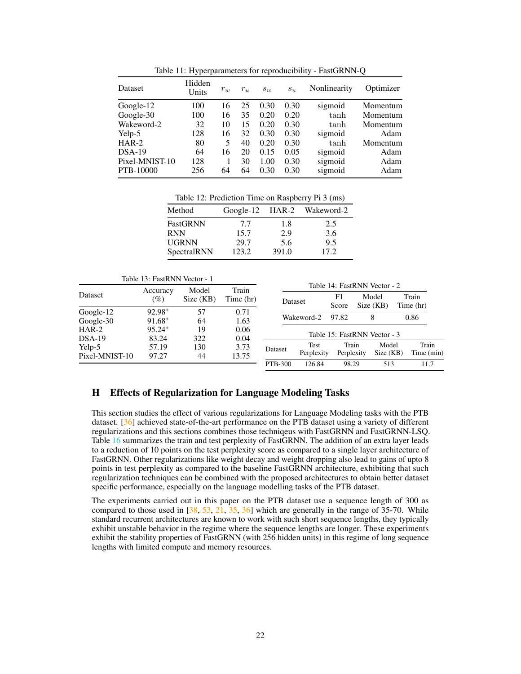<span id="page-21-0"></span>

| Dataset        | Hidden<br>Units | $r_w$ | $r_u$ | $s_w$ | $s_u$ | Nonlinearity | Optimizer |
|----------------|-----------------|-------|-------|-------|-------|--------------|-----------|
| Google-12      | 100             | 16    | 25    | 0.30  | 0.30  | sigmoid      | Momentum  |
| Google-30      | 100             | 16    | 35    | 0.20  | 0.20  | tanh         | Momentum  |
| Wakeword-2     | 32              | 10    | 15    | 0.20  | 0.30  | tanh         | Momentum  |
| Yelp-5         | 128             | 16    | 32    | 0.30  | 0.30  | sigmoid      | Adam      |
| $HAR-2$        | 80              | 5     | 40    | 0.20  | 0.30  | tanh         | Momentum  |
| $DSA-19$       | 64              | 16    | 20    | 0.15  | 0.05  | sigmoid      | Adam      |
| Pixel-MNIST-10 | 128             |       | 30    | 1.00  | 0.30  | sigmoid      | Adam      |
| PTB-10000      | 256             | 64    | 64    | 0.30  | 0.30  | sigmoid      | Adam      |
|                |                 |       |       |       |       |              |           |

Table 11: Hyperparameters for reproducibility - FastGRNN-Q

Table 12: Prediction Time on Raspberry Pi 3 (ms)

<span id="page-21-1"></span>

| Method       |       |       | Google-12 HAR-2 Wakeword-2 |
|--------------|-------|-------|----------------------------|
| FastGRNN     | 7.7   | 1.8   | 2.5                        |
| <b>RNN</b>   | 15.7  | 2.9   | 3.6                        |
| <b>UGRNN</b> | 29.7  | 5.6   | 9.5                        |
| SpectralRNN  | 123.2 | 391.0 | 17.2.                      |

<span id="page-21-2"></span>

|                          | Table 13: FastRNN Vector - 1      |                    |                    |                |                    |                                             |                   |                   |                     |  |
|--------------------------|-----------------------------------|--------------------|--------------------|----------------|--------------------|---------------------------------------------|-------------------|-------------------|---------------------|--|
| Dataset                  | Accuracy<br>$(\%)$                | Model<br>Size (KB) | Train<br>Time (hr) | Dataset        |                    | Table 14: FastRNN Vector - 2<br>F1<br>Score | Model<br>Size(KB) |                   | Train<br>Time (hr)  |  |
| Google-12<br>Google-30   | 92.98 <sup>+</sup><br>$91.68^{+}$ | 57<br>64           | 0.71<br>1.63       |                | Wakeword-2         | 97.82                                       | 8                 |                   | 0.86                |  |
| $HAR-2$<br>$DSA-19$      | $95.24+$<br>83.24                 | 19<br>322          | 0.06<br>0.04       |                |                    | Table 15: FastRNN Vector - 3                |                   |                   |                     |  |
| Yelp-5<br>Pixel-MNIST-10 | 57.19<br>97.27                    | 130<br>44          | 3.73<br>13.75      | Dataset        | Test<br>Perplexity | Train<br>Perplexity                         |                   | Model<br>Size(KB) | Train<br>Time (min) |  |
|                          |                                   |                    |                    | <b>PTB-300</b> | 126.84             | 98.29                                       |                   | 513               | 11.7                |  |

## H Effects of Regularization for Language Modeling Tasks

This section studies the effect of various regularizations for Language Modeling tasks with the PTB dataset. [\[36\]](#page-10-17) achieved state-of-the-art performance on the PTB dataset using a variety of different regularizations and this sections combines those techniqeus with FastGRNN and FastGRNN-LSQ. Table [16](#page-22-0) summarizes the train and test perplexity of FastGRNN. The addition of an extra layer leads to a reduction of 10 points on the test perplexity score as compared to a single layer architecture of FastGRNN. Other regularizations like weight decay and weight dropping also lead to gains of upto 8 points in test perplexity as compared to the baseline FastGRNN architecture, exhibiting that such regularization techniques can be combined with the proposed architectures to obtain better dataset specific performance, especially on the language modelling tasks of the PTB dataset.

The experiments carried out in this paper on the PTB dataset use a sequence length of 300 as compared to those used in  $\left[38, 53, 21, 35, 36\right]$  $\left[38, 53, 21, 35, 36\right]$  $\left[38, 53, 21, 35, 36\right]$  $\left[38, 53, 21, 35, 36\right]$  $\left[38, 53, 21, 35, 36\right]$  $\left[38, 53, 21, 35, 36\right]$  $\left[38, 53, 21, 35, 36\right]$  $\left[38, 53, 21, 35, 36\right]$  $\left[38, 53, 21, 35, 36\right]$  which are generally in the range of 35-70. While standard recurrent architectures are known to work with such short sequence lengths, they typically exhibit unstable behavior in the regime where the sequence lengths are longer. These experiments exhibit the stability properties of FastGRNN (with 256 hidden units) in this regime of long sequence lengths with limited compute and memory resources.